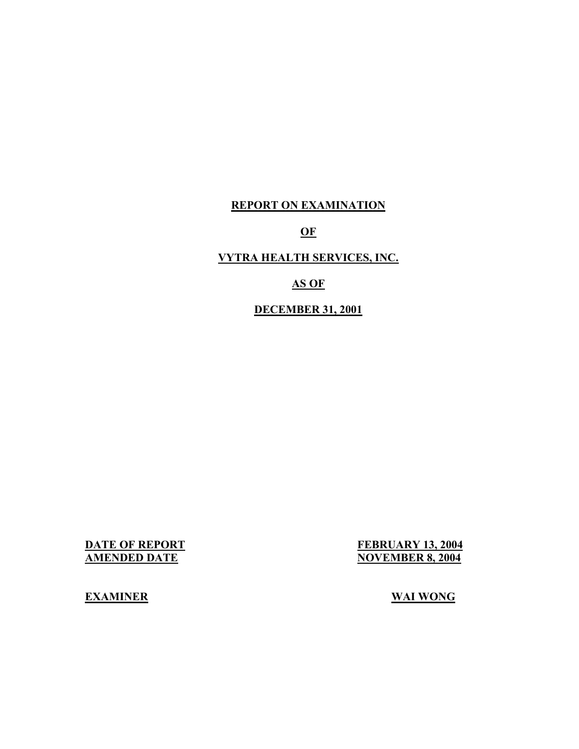## **REPORT ON EXAMINATION**

**OF** 

## **VYTRA HEALTH SERVICES, INC.**

## **AS OF**

## **DECEMBER 31, 2001**

**DATE OF REPORT<br>AMENDED DATE** FEBRUARY 13, 2004 **NOVEMBER 8, 2004** 

**EXAMINER** WAI WONG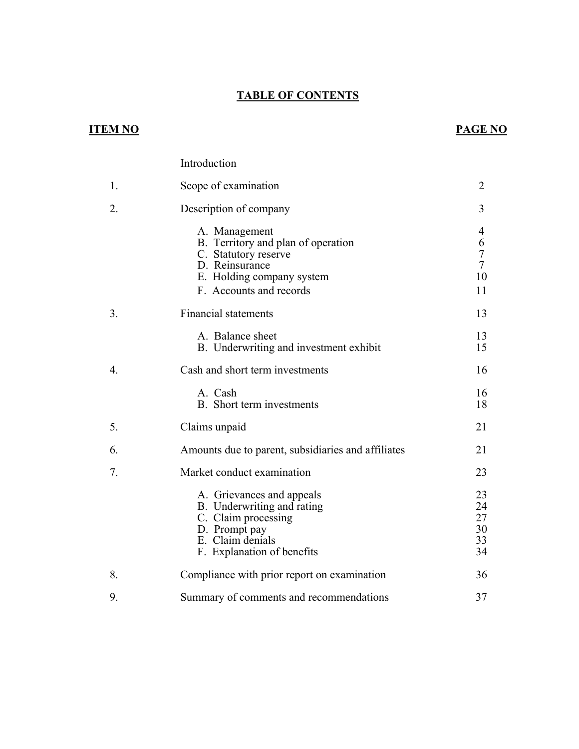## **TABLE OF CONTENTS**

## **ITEM NO**

9.

## **PAGE NO**

|                  | Introduction                                                                                                                                          |                                           |
|------------------|-------------------------------------------------------------------------------------------------------------------------------------------------------|-------------------------------------------|
| 1.               | Scope of examination                                                                                                                                  | 2                                         |
| 2.               | Description of company                                                                                                                                | 3                                         |
|                  | A. Management<br>B. Territory and plan of operation<br>C. Statutory reserve<br>D. Reinsurance<br>E. Holding company system<br>F. Accounts and records | 4<br>6<br>$\overline{7}$<br>7<br>10<br>11 |
| 3.               | <b>Financial statements</b>                                                                                                                           | 13                                        |
|                  | A. Balance sheet<br>B. Underwriting and investment exhibit                                                                                            | 13<br>15                                  |
| $\overline{4}$ . | Cash and short term investments                                                                                                                       | 16                                        |
|                  | A. Cash<br>B. Short term investments                                                                                                                  | 16<br>18                                  |
| 5.               | Claims unpaid                                                                                                                                         | 21                                        |
| 6.               | Amounts due to parent, subsidiaries and affiliates                                                                                                    | 21                                        |
| 7.               | Market conduct examination                                                                                                                            | 23                                        |
|                  | A. Grievances and appeals<br>B. Underwriting and rating<br>C. Claim processing<br>D. Prompt pay<br>E. Claim denials<br>F. Explanation of benefits     | 23<br>24<br>27<br>30<br>33<br>34          |
| 8.               | Compliance with prior report on examination                                                                                                           | 36                                        |

Summary of comments and recommendations 37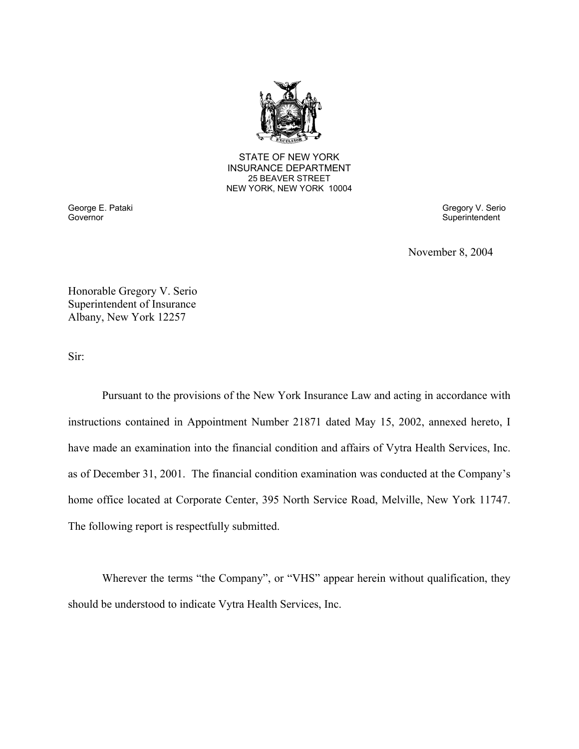

**25 BEAVER STREET** STATE OF NEW YORK INSURANCE DEPARTMENT NEW YORK, NEW YORK 10004

Governor

George E. Pataki Gregory V. Serio Superintendent

November 8, 2004

Honorable Gregory V. Serio Superintendent of Insurance Albany, New York 12257

Sir:

Pursuant to the provisions of the New York Insurance Law and acting in accordance with instructions contained in Appointment Number 21871 dated May 15, 2002, annexed hereto, I have made an examination into the financial condition and affairs of Vytra Health Services, Inc. as of December 31, 2001. The financial condition examination was conducted at the Company's home office located at Corporate Center, 395 North Service Road, Melville, New York 11747. The following report is respectfully submitted.

Wherever the terms "the Company", or "VHS" appear herein without qualification, they should be understood to indicate Vytra Health Services, Inc.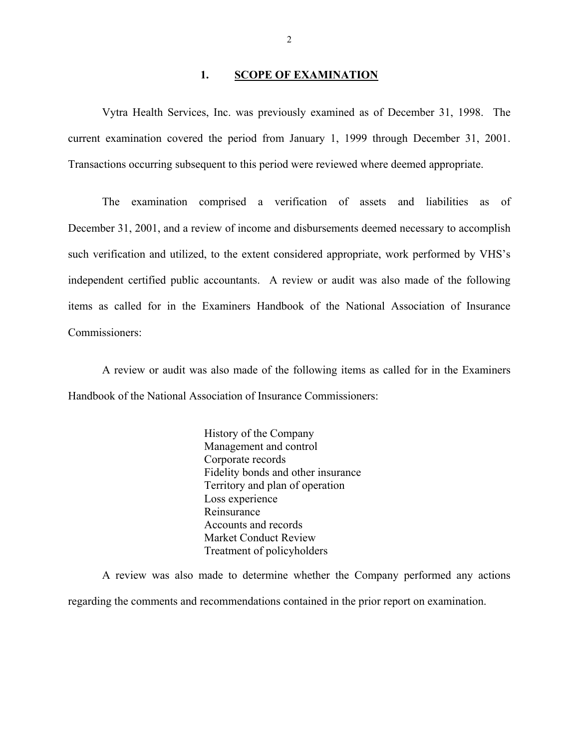#### 1. **SCOPE OF EXAMINATION**

<span id="page-3-0"></span>Vytra Health Services, Inc. was previously examined as of December 31, 1998. The current examination covered the period from January 1, 1999 through December 31, 2001. Transactions occurring subsequent to this period were reviewed where deemed appropriate.

The examination comprised a verification of assets and liabilities as of December 31, 2001, and a review of income and disbursements deemed necessary to accomplish such verification and utilized, to the extent considered appropriate, work performed by VHS's independent certified public accountants. A review or audit was also made of the following items as called for in the Examiners Handbook of the National Association of Insurance Commissioners:

A review or audit was also made of the following items as called for in the Examiners Handbook of the National Association of Insurance Commissioners:

> History of the Company Management and control Corporate records Fidelity bonds and other insurance Territory and plan of operation Loss experience Reinsurance Accounts and records Market Conduct Review Treatment of policyholders

A review was also made to determine whether the Company performed any actions regarding the comments and recommendations contained in the prior report on examination.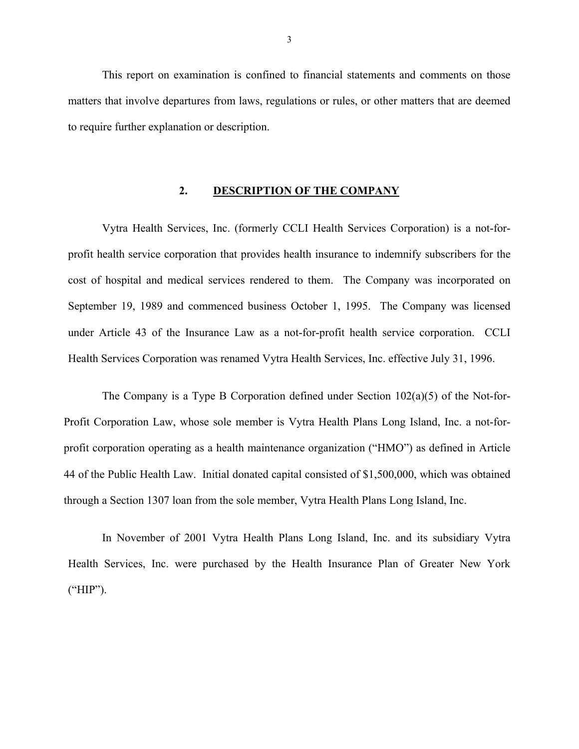<span id="page-4-0"></span>This report on examination is confined to financial statements and comments on those matters that involve departures from laws, regulations or rules, or other matters that are deemed to require further explanation or description.

#### **2. DESCRIPTION OF THE COMPANY**

Vytra Health Services, Inc. (formerly CCLI Health Services Corporation) is a not-forprofit health service corporation that provides health insurance to indemnify subscribers for the cost of hospital and medical services rendered to them. The Company was incorporated on September 19, 1989 and commenced business October 1, 1995. The Company was licensed under Article 43 of the Insurance Law as a not-for-profit health service corporation. CCLI Health Services Corporation was renamed Vytra Health Services, Inc. effective July 31, 1996.

The Company is a Type B Corporation defined under Section 102(a)(5) of the Not-for-Profit Corporation Law, whose sole member is Vytra Health Plans Long Island, Inc. a not-forprofit corporation operating as a health maintenance organization ("HMO") as defined in Article 44 of the Public Health Law. Initial donated capital consisted of \$1,500,000, which was obtained through a Section 1307 loan from the sole member, Vytra Health Plans Long Island, Inc.

In November of 2001 Vytra Health Plans Long Island, Inc. and its subsidiary Vytra Health Services, Inc. were purchased by the Health Insurance Plan of Greater New York ("HIP").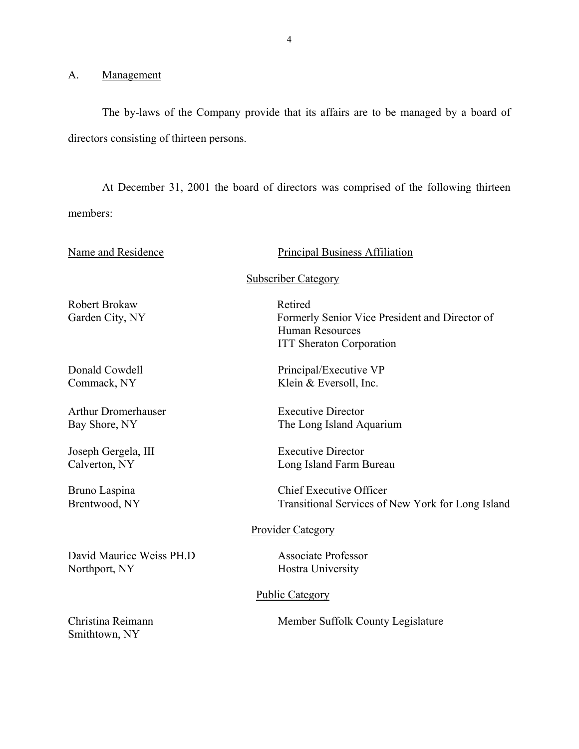A. Management

The by-laws of the Company provide that its affairs are to be managed by a board of directors consisting of thirteen persons.

At December 31, 2001 the board of directors was comprised of the following thirteen members:

Name and Residence

#### Principal Business Affiliation

#### Subscriber Category

Robert Brokaw Retired

Arthur Dromerhauser Executive Director

Joseph Gergela, III Executive Director

David Maurice Weiss PH.D Associate Professor Northport, NY Hostra University

Garden City, NY Formerly Senior Vice President and Director of Human Resources ITT Sheraton Corporation

Donald Cowdell Principal/Executive VP Commack, NY Klein & Eversoll, Inc.

Bay Shore, NY The Long Island Aquarium

Calverton, NY Long Island Farm Bureau

Bruno Laspina Chief Executive Officer Brentwood, NY Transitional Services of New York for Long Island

#### Provider Category

#### Public Category

Smithtown, NY

Christina Reimann Member Suffolk County Legislature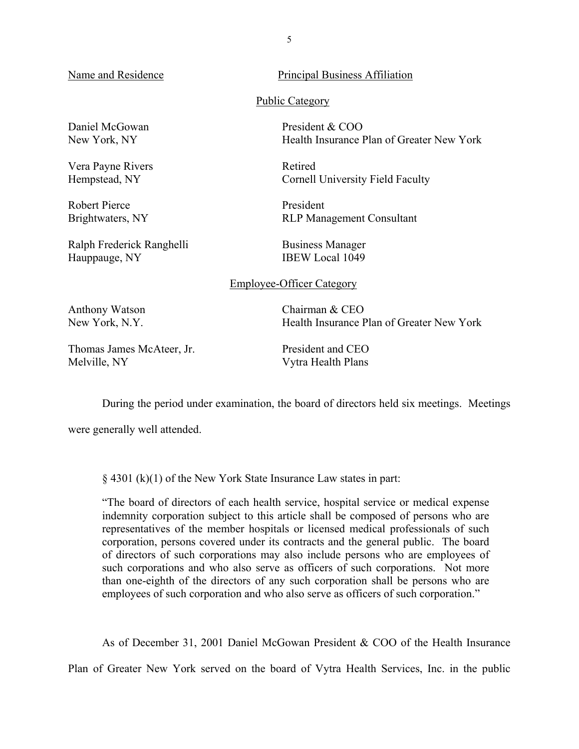Name and Residence

Daniel McGowan President & COO

Vera Payne Rivers Retired

Robert Pierce President

Ralph Frederick Ranghelli Business Manager<br>Hauppauge NY Hauppauge R Hauppauge, NY

Principal Business Affiliation

Public Category

New York, NY Health Insurance Plan of Greater New York

Hempstead, NY Cornell University Field Faculty

Brightwaters, NY RLP Management Consultant

#### Employee-Officer Category

Anthony Watson Chairman & CEO New York, N.Y. Health Insurance Plan of Greater New York

Thomas James McAteer, Jr. President and CEO Melville, NY Vytra Health Plans

During the period under examination, the board of directors held six meetings. Meetings

were generally well attended.

§ 4301 (k)(1) of the New York State Insurance Law states in part:

"The board of directors of each health service, hospital service or medical expense indemnity corporation subject to this article shall be composed of persons who are representatives of the member hospitals or licensed medical professionals of such corporation, persons covered under its contracts and the general public. The board of directors of such corporations may also include persons who are employees of such corporations and who also serve as officers of such corporations. Not more than one-eighth of the directors of any such corporation shall be persons who are employees of such corporation and who also serve as officers of such corporation."

As of December 31, 2001 Daniel McGowan President & COO of the Health Insurance

Plan of Greater New York served on the board of Vytra Health Services, Inc. in the public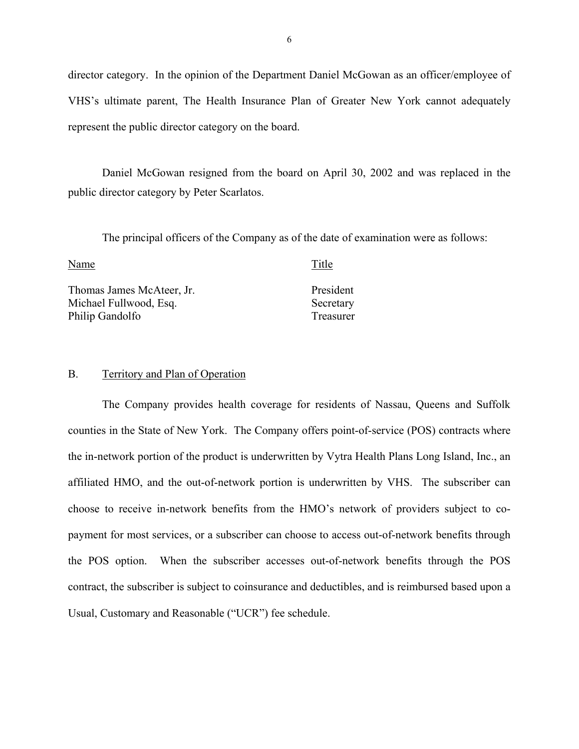director category. In the opinion of the Department Daniel McGowan as an officer/employee of VHS's ultimate parent, The Health Insurance Plan of Greater New York cannot adequately represent the public director category on the board.

Daniel McGowan resigned from the board on April 30, 2002 and was replaced in the public director category by Peter Scarlatos.

The principal officers of the Company as of the date of examination were as follows:

Name Title

Thomas James McAteer, Jr. President Michael Fullwood, Esq. Secretary Philip Gandolfo Treasurer

#### B. Territory and Plan of Operation

The Company provides health coverage for residents of Nassau, Queens and Suffolk counties in the State of New York. The Company offers point-of-service (POS) contracts where the in-network portion of the product is underwritten by Vytra Health Plans Long Island, Inc., an affiliated HMO, and the out-of-network portion is underwritten by VHS. The subscriber can choose to receive in-network benefits from the HMO's network of providers subject to copayment for most services, or a subscriber can choose to access out-of-network benefits through the POS option. When the subscriber accesses out-of-network benefits through the POS contract, the subscriber is subject to coinsurance and deductibles, and is reimbursed based upon a Usual, Customary and Reasonable ("UCR") fee schedule.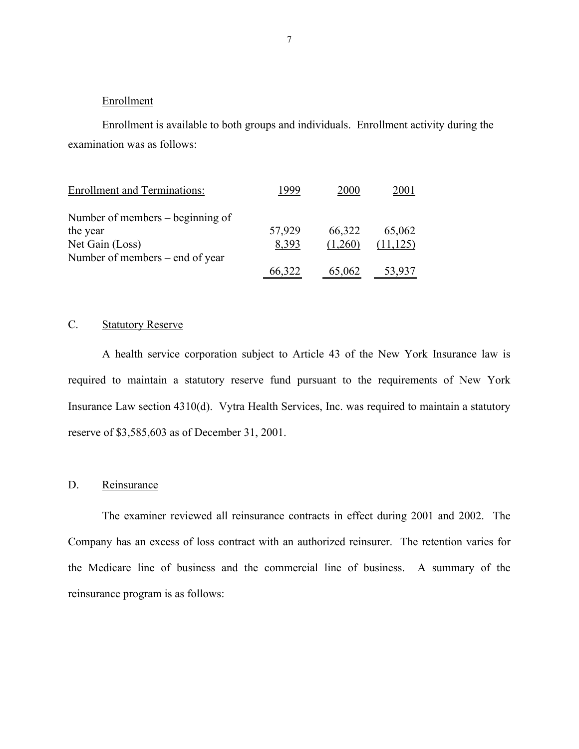## **Enrollment**

Enrollment is available to both groups and individuals. Enrollment activity during the examination was as follows:

| <b>Enrollment and Terminations:</b> | 1999   | 2000    | 2001      |
|-------------------------------------|--------|---------|-----------|
| Number of members $-$ beginning of  |        |         |           |
| the year                            | 57,929 | 66,322  | 65,062    |
| Net Gain (Loss)                     | 8,393  | (1,260) | (11, 125) |
| Number of members – end of year     |        |         |           |
|                                     | 66,322 | 65,062  | 53,937    |

## C. Statutory Reserve

A health service corporation subject to Article 43 of the New York Insurance law is required to maintain a statutory reserve fund pursuant to the requirements of New York Insurance Law section 4310(d). Vytra Health Services, Inc. was required to maintain a statutory reserve of \$3,585,603 as of December 31, 2001.

## D. Reinsurance

The examiner reviewed all reinsurance contracts in effect during 2001 and 2002. The Company has an excess of loss contract with an authorized reinsurer. The retention varies for the Medicare line of business and the commercial line of business. A summary of the reinsurance program is as follows: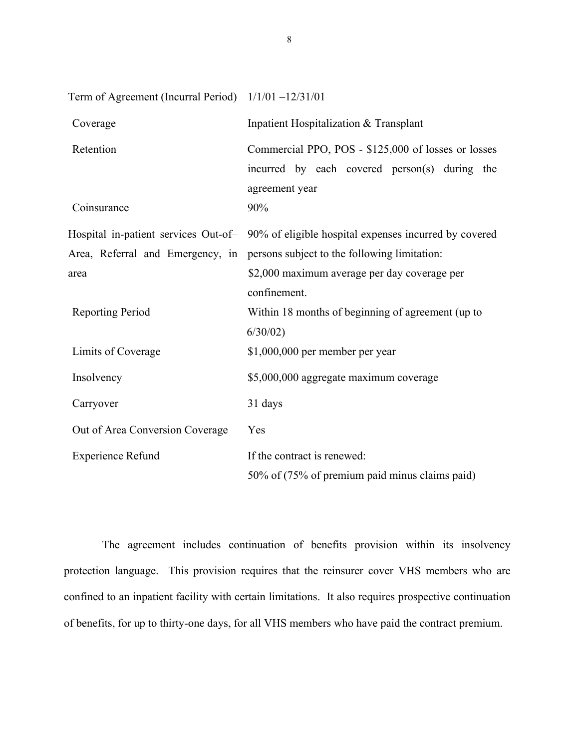| Term of Agreement (Incurral Period) 1/1/01 -12/31/01 |                                                                                                                        |  |  |
|------------------------------------------------------|------------------------------------------------------------------------------------------------------------------------|--|--|
| Coverage                                             | Inpatient Hospitalization & Transplant                                                                                 |  |  |
| Retention                                            | Commercial PPO, POS - \$125,000 of losses or losses<br>incurred by each covered person(s) during the<br>agreement year |  |  |
| Coinsurance                                          | 90%                                                                                                                    |  |  |
|                                                      | Hospital in-patient services Out-of- 90% of eligible hospital expenses incurred by covered                             |  |  |
| Area, Referral and Emergency, in                     | persons subject to the following limitation:                                                                           |  |  |
| area                                                 | \$2,000 maximum average per day coverage per<br>confinement.                                                           |  |  |
| <b>Reporting Period</b>                              | Within 18 months of beginning of agreement (up to<br>6/30/02                                                           |  |  |
| Limits of Coverage                                   | \$1,000,000 per member per year                                                                                        |  |  |
| Insolvency                                           | \$5,000,000 aggregate maximum coverage                                                                                 |  |  |
| Carryover                                            | 31 days                                                                                                                |  |  |
| Out of Area Conversion Coverage                      | Yes                                                                                                                    |  |  |
| <b>Experience Refund</b>                             | If the contract is renewed:                                                                                            |  |  |
|                                                      | 50% of (75% of premium paid minus claims paid)                                                                         |  |  |

 of benefits, for up to thirty-one days, for all VHS members who have paid the contract premium. The agreement includes continuation of benefits provision within its insolvency protection language. This provision requires that the reinsurer cover VHS members who are confined to an inpatient facility with certain limitations. It also requires prospective continuation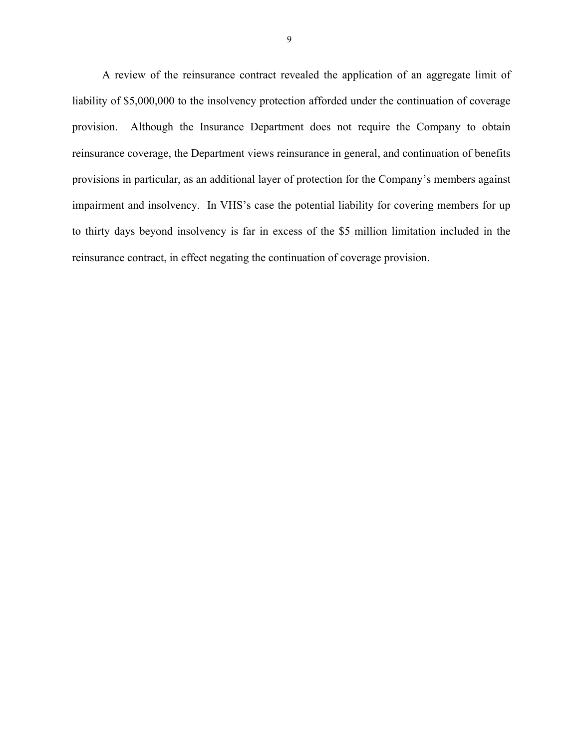A review of the reinsurance contract revealed the application of an aggregate limit of liability of \$5,000,000 to the insolvency protection afforded under the continuation of coverage provision. Although the Insurance Department does not require the Company to obtain reinsurance coverage, the Department views reinsurance in general, and continuation of benefits provisions in particular, as an additional layer of protection for the Company's members against impairment and insolvency. In VHS's case the potential liability for covering members for up to thirty days beyond insolvency is far in excess of the \$5 million limitation included in the reinsurance contract, in effect negating the continuation of coverage provision.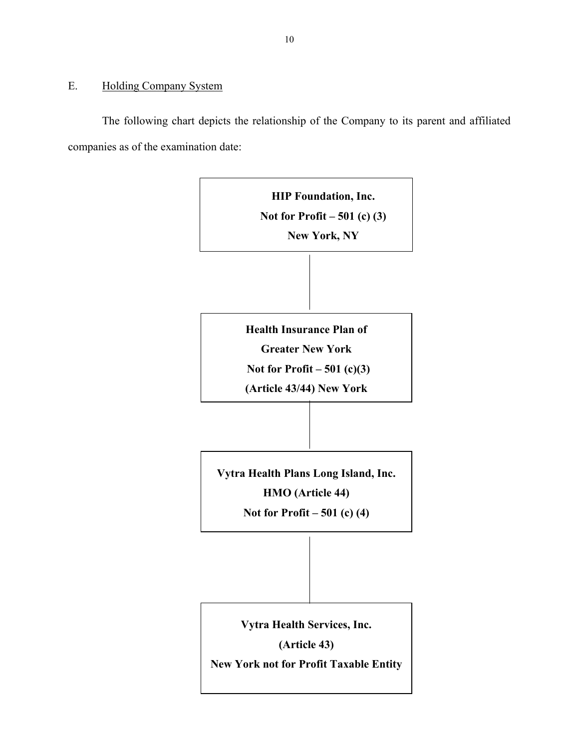## E. Holding Company System

The following chart depicts the relationship of the Company to its parent and affiliated companies as of the examination date:

> **HIP Foundation, Inc. Not for Profit – 501 (c) (3) New York, NY Health Insurance Plan of Greater New York Not for Profit – 501 (c)(3) (Article 43/44) New York Vytra Health Plans Long Island, Inc. HMO (Article 44) Not for Profit – 501 (c) (4) Vytra Health Services, Inc. (Article 43) New York not for Profit Taxable Entity**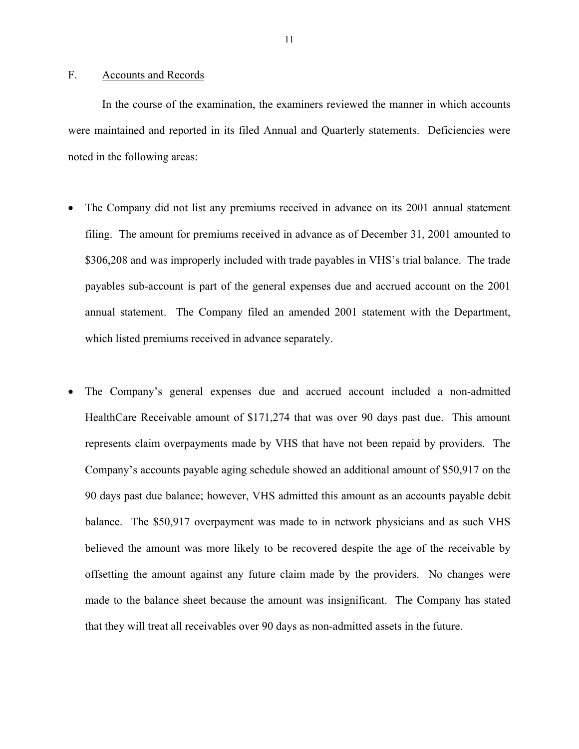### <span id="page-12-0"></span>F. Accounts and Records

In the course of the examination, the examiners reviewed the manner in which accounts were maintained and reported in its filed Annual and Ouarterly statements. Deficiencies were noted in the following areas:

- The Company did not list any premiums received in advance on its 2001 annual statement filing. The amount for premiums received in advance as of December 31, 2001 amounted to \$306,208 and was improperly included with trade payables in VHS's trial balance. The trade payables sub-account is part of the general expenses due and accrued account on the 2001 annual statement. The Company filed an amended 2001 statement with the Department, which listed premiums received in advance separately.
- The Company's general expenses due and accrued account included a non-admitted HealthCare Receivable amount of \$171,274 that was over 90 days past due. This amount represents claim overpayments made by VHS that have not been repaid by providers. The Company's accounts payable aging schedule showed an additional amount of \$50,917 on the 90 days past due balance; however, VHS admitted this amount as an accounts payable debit balance. The \$50,917 overpayment was made to in network physicians and as such VHS believed the amount was more likely to be recovered despite the age of the receivable by offsetting the amount against any future claim made by the providers. No changes were made to the balance sheet because the amount was insignificant. The Company has stated that they will treat all receivables over 90 days as non-admitted assets in the future.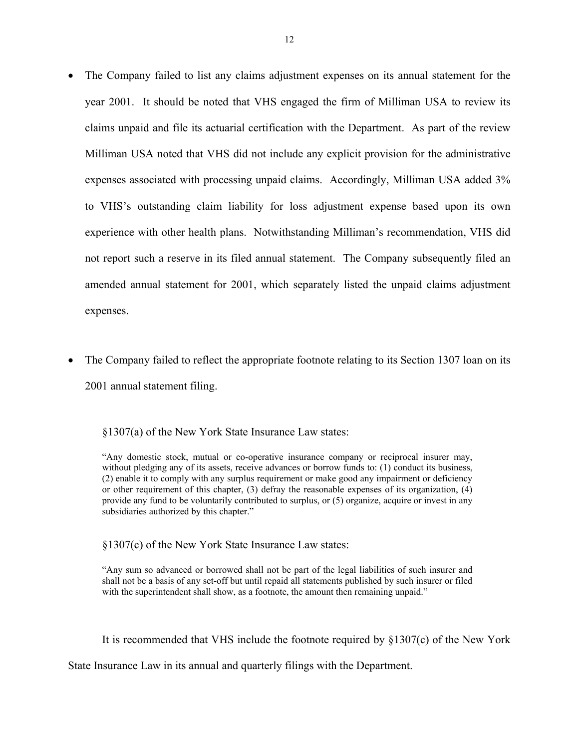- The Company failed to list any claims adjustment expenses on its annual statement for the year 2001. It should be noted that VHS engaged the firm of Milliman USA to review its claims unpaid and file its actuarial certification with the Department. As part of the review Milliman USA noted that VHS did not include any explicit provision for the administrative expenses associated with processing unpaid claims. Accordingly, Milliman USA added 3% to VHS's outstanding claim liability for loss adjustment expense based upon its own experience with other health plans. Notwithstanding Milliman's recommendation, VHS did not report such a reserve in its filed annual statement. The Company subsequently filed an amended annual statement for 2001, which separately listed the unpaid claims adjustment expenses.
- The Company failed to reflect the appropriate footnote relating to its Section 1307 loan on its 2001 annual statement filing.

§1307(a) of the New York State Insurance Law states:

§1307(c) of the New York State Insurance Law states:

with the superintendent shall show, as a footnote, the amount then remaining unpaid." "Any sum so advanced or borrowed shall not be part of the legal liabilities of such insurer and shall not be a basis of any set-off but until repaid all statements published by such insurer or filed

It is recommended that VHS include the footnote required by §1307(c) of the New York

State Insurance Law in its annual and quarterly filings with the Department.

<sup>&</sup>quot;Any domestic stock, mutual or co-operative insurance company or reciprocal insurer may, without pledging any of its assets, receive advances or borrow funds to: (1) conduct its business, (2) enable it to comply with any surplus requirement or make good any impairment or deficiency or other requirement of this chapter, (3) defray the reasonable expenses of its organization, (4) provide any fund to be voluntarily contributed to surplus, or (5) organize, acquire or invest in any subsidiaries authorized by this chapter."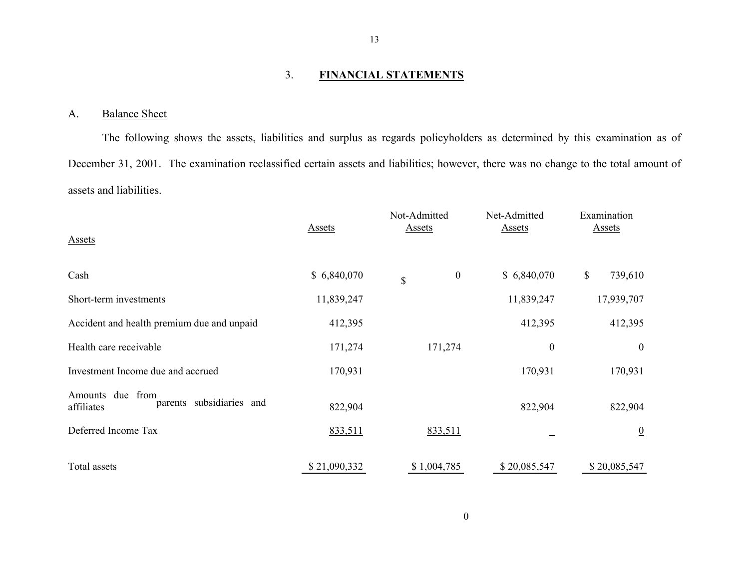#### 3. **FINANCIAL STATEMENTS**

#### A. Balance Sheet

The following shows the assets, liabilities and surplus as regards policyholders as determined by this examination as of December 31, 2001. The examination reclassified certain assets and liabilities; however, there was no change to the total amount of assets and liabilities.

| <b>Assets</b>                                                 | <b>Assets</b> | Not-Admitted<br><b>Assets</b> | Net-Admitted<br><b>Assets</b> | Examination<br><b>Assets</b> |
|---------------------------------------------------------------|---------------|-------------------------------|-------------------------------|------------------------------|
| Cash                                                          | \$6,840,070   | $\boldsymbol{0}$<br>\$        | \$6,840,070                   | \$<br>739,610                |
| Short-term investments                                        | 11,839,247    |                               | 11,839,247                    | 17,939,707                   |
| Accident and health premium due and unpaid                    | 412,395       |                               | 412,395                       | 412,395                      |
| Health care receivable                                        | 171,274       | 171,274                       | $\boldsymbol{0}$              | $\boldsymbol{0}$             |
| Investment Income due and accrued                             | 170,931       |                               | 170,931                       | 170,931                      |
| due from<br>Amounts<br>parents subsidiaries and<br>affiliates | 822,904       |                               | 822,904                       | 822,904                      |
| Deferred Income Tax                                           | 833,511       | 833,511                       |                               | $\overline{0}$               |
| Total assets                                                  | \$21,090,332  | \$1,004,785                   | \$20,085,547                  | \$20,085,547                 |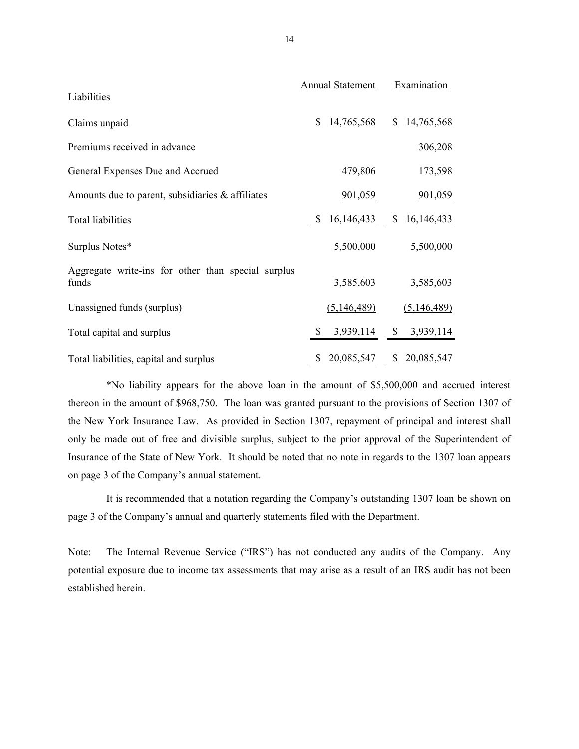| Liabilities                                                 | <b>Annual Statement</b>    | Examination               |
|-------------------------------------------------------------|----------------------------|---------------------------|
| Claims unpaid                                               | 14,765,568<br>$\mathbb{S}$ | \$14,765,568              |
| Premiums received in advance                                |                            | 306,208                   |
| General Expenses Due and Accrued                            | 479,806                    | 173,598                   |
| Amounts due to parent, subsidiaries $\&$ affiliates         | 901,059                    | 901,059                   |
| <b>Total liabilities</b>                                    | 16, 146, 433<br>\$         | \$16,146,433              |
| Surplus Notes*                                              | 5,500,000                  | 5,500,000                 |
| Aggregate write-ins for other than special surplus<br>funds | 3,585,603                  | 3,585,603                 |
| Unassigned funds (surplus)                                  | (5,146,489)                | (5,146,489)               |
| Total capital and surplus                                   | 3,939,114<br>\$            | 3,939,114<br>$\mathbb{S}$ |
| Total liabilities, capital and surplus                      | 20,085,547<br>S.           | \$20,085,547              |

\*No liability appears for the above loan in the amount of \$5,500,000 and accrued interest thereon in the amount of \$968,750. The loan was granted pursuant to the provisions of Section 1307 of the New York Insurance Law. As provided in Section 1307, repayment of principal and interest shall only be made out of free and divisible surplus, subject to the prior approval of the Superintendent of Insurance of the State of New York. It should be noted that no note in regards to the 1307 loan appears on page 3 of the Company's annual statement.

It is recommended that a notation regarding the Company's outstanding 1307 loan be shown on page 3 of the Company's annual and quarterly statements filed with the Department.

 Note: The Internal Revenue Service ("IRS") has not conducted any audits of the Company. Any potential exposure due to income tax assessments that may arise as a result of an IRS audit has not been established herein.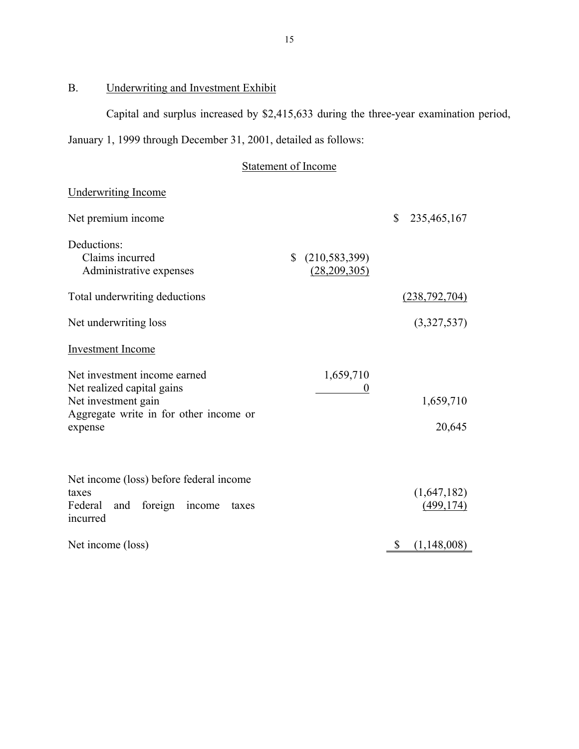#### B. Underwriting and Investment Exhibit

Capital and surplus increased by \$2,415,633 during the three-year examination period,

January 1, 1999 through December 31, 2001, detailed as follows:

#### Statement of Income

## Underwriting Income Underwriting Income<br>
Net premium income \$ 235,465,167 Deductions: Claims incurred Administrative expenses \$ (210,583,399) (28,209,305) Total underwriting deductions (238,792,704) Net underwriting loss (3,327,537) Investment Income Net investment income earned Net realized capital gains Net investment gain Aggregate write in for other income or expense 1,659,710 0 1,659,710 20,645 Net income (loss) before federal income taxes (1,647,182) Federal and foreign income taxes (499,174) incurred Net income (loss) \$ (1,148,008)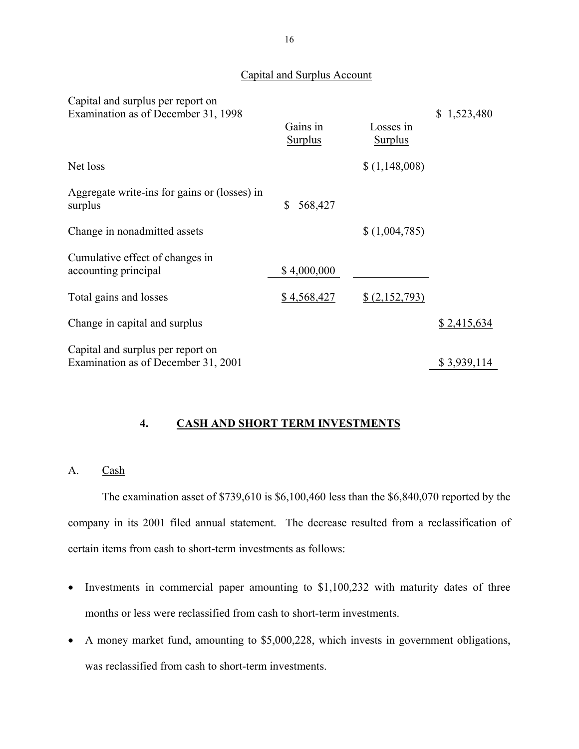## Capital and Surplus Account

<span id="page-17-0"></span>

| Capital and surplus per report on<br>Examination as of December 31, 1998 |                            |                             | \$1,523,480 |
|--------------------------------------------------------------------------|----------------------------|-----------------------------|-------------|
|                                                                          | Gains in<br><b>Surplus</b> | Losses in<br><b>Surplus</b> |             |
| Net loss                                                                 |                            | \$(1,148,008)               |             |
| Aggregate write-ins for gains or (losses) in<br>surplus                  | 568,427<br>\$              |                             |             |
| Change in nonadmitted assets                                             |                            | \$(1,004,785)               |             |
| Cumulative effect of changes in<br>accounting principal                  | \$4,000,000                |                             |             |
| Total gains and losses                                                   | \$4,568,427                | \$(2,152,793)               |             |
| Change in capital and surplus                                            |                            |                             | \$2,415,634 |
| Capital and surplus per report on<br>Examination as of December 31, 2001 |                            |                             | \$3,939,114 |

## **4. CASH AND SHORT TERM INVESTMENTS**

## A. Cash

The examination asset of \$739,610 is \$6,100,460 less than the \$6,840,070 reported by the company in its 2001 filed annual statement. The decrease resulted from a reclassification of certain items from cash to short-term investments as follows:

- Investments in commercial paper amounting to \$1,100,232 with maturity dates of three months or less were reclassified from cash to short-term investments.
- A money market fund, amounting to \$5,000,228, which invests in government obligations, was reclassified from cash to short-term investments.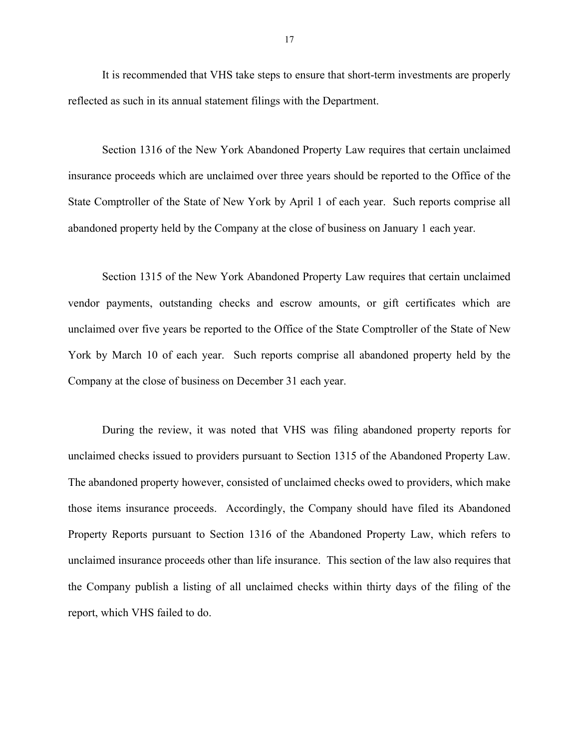It is recommended that VHS take steps to ensure that short-term investments are properly reflected as such in its annual statement filings with the Department.

Section 1316 of the New York Abandoned Property Law requires that certain unclaimed insurance proceeds which are unclaimed over three years should be reported to the Office of the State Comptroller of the State of New York by April 1 of each year. Such reports comprise all abandoned property held by the Company at the close of business on January 1 each year.

Section 1315 of the New York Abandoned Property Law requires that certain unclaimed vendor payments, outstanding checks and escrow amounts, or gift certificates which are unclaimed over five years be reported to the Office of the State Comptroller of the State of New York by March 10 of each year. Such reports comprise all abandoned property held by the Company at the close of business on December 31 each year.

During the review, it was noted that VHS was filing abandoned property reports for unclaimed checks issued to providers pursuant to Section 1315 of the Abandoned Property Law. The abandoned property however, consisted of unclaimed checks owed to providers, which make those items insurance proceeds. Accordingly, the Company should have filed its Abandoned Property Reports pursuant to Section 1316 of the Abandoned Property Law, which refers to unclaimed insurance proceeds other than life insurance. This section of the law also requires that the Company publish a listing of all unclaimed checks within thirty days of the filing of the report, which VHS failed to do.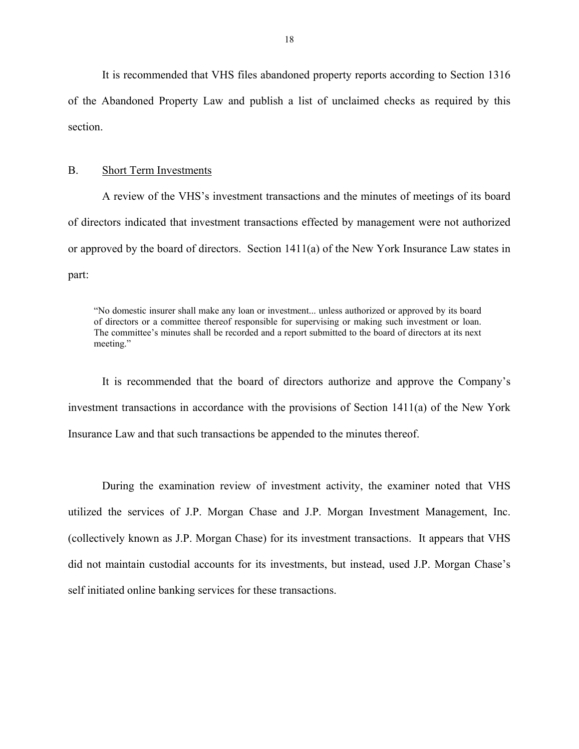<span id="page-19-0"></span>It is recommended that VHS files abandoned property reports according to Section 1316 of the Abandoned Property Law and publish a list of unclaimed checks as required by this section.

#### B. Short Term Investments

A review of the VHS's investment transactions and the minutes of meetings of its board of directors indicated that investment transactions effected by management were not authorized or approved by the board of directors. Section 1411(a) of the New York Insurance Law states in part:

of directors or a committee thereof responsible for supervising or making such investment or loan. of directors or a committee thereof responsible for supervising or making such investment or loan. The committee's minutes shall be recorded and a report submitted to the board of directors at its next "No domestic insurer shall make any loan or investment... unless authorized or approved by its board meeting."

It is recommended that the board of directors authorize and approve the Company's investment transactions in accordance with the provisions of Section 1411(a) of the New York Insurance Law and that such transactions be appended to the minutes thereof.

During the examination review of investment activity, the examiner noted that VHS utilized the services of J.P. Morgan Chase and J.P. Morgan Investment Management, Inc. (collectively known as J.P. Morgan Chase) for its investment transactions. It appears that VHS did not maintain custodial accounts for its investments, but instead, used J.P. Morgan Chase's self initiated online banking services for these transactions.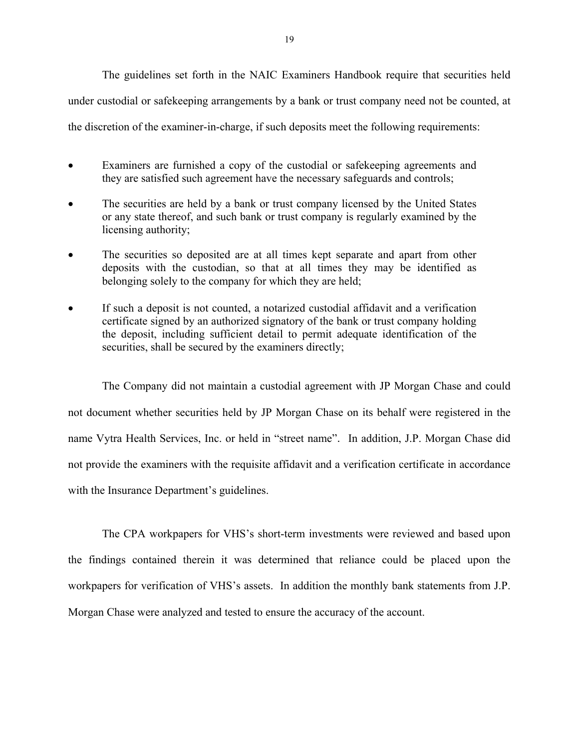The guidelines set forth in the NAIC Examiners Handbook require that securities held under custodial or safekeeping arrangements by a bank or trust company need not be counted, at the discretion of the examiner-in-charge, if such deposits meet the following requirements:

- Examiners are furnished a copy of the custodial or safekeeping agreements and they are satisfied such agreement have the necessary safeguards and controls;
- The securities are held by a bank or trust company licensed by the United States or any state thereof, and such bank or trust company is regularly examined by the licensing authority;
- The securities so deposited are at all times kept separate and apart from other deposits with the custodian, so that at all times they may be identified as belonging solely to the company for which they are held;
- If such a deposit is not counted, a notarized custodial affidavit and a verification certificate signed by an authorized signatory of the bank or trust company holding the deposit, including sufficient detail to permit adequate identification of the securities, shall be secured by the examiners directly;

The Company did not maintain a custodial agreement with JP Morgan Chase and could not document whether securities held by JP Morgan Chase on its behalf were registered in the name Vytra Health Services, Inc. or held in "street name". In addition, J.P. Morgan Chase did not provide the examiners with the requisite affidavit and a verification certificate in accordance with the Insurance Department's guidelines.

The CPA workpapers for VHS's short-term investments were reviewed and based upon the findings contained therein it was determined that reliance could be placed upon the workpapers for verification of VHS's assets. In addition the monthly bank statements from J.P. Morgan Chase were analyzed and tested to ensure the accuracy of the account.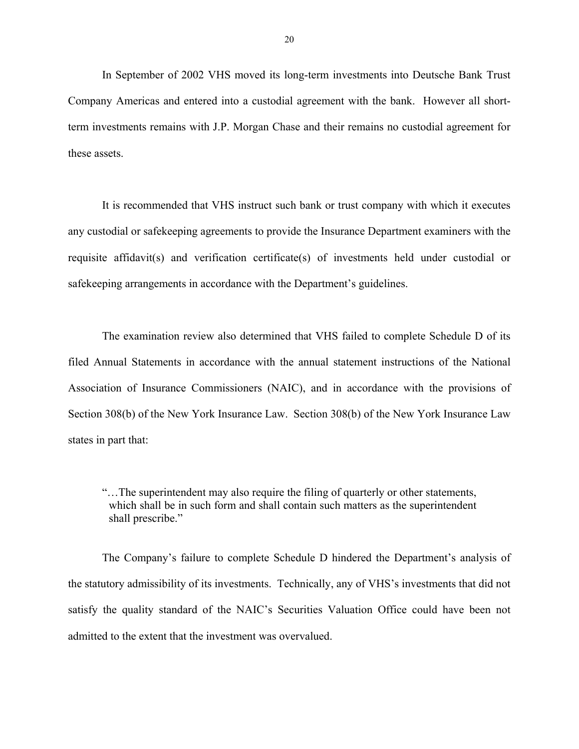In September of 2002 VHS moved its long-term investments into Deutsche Bank Trust Company Americas and entered into a custodial agreement with the bank. However all shortterm investments remains with J.P. Morgan Chase and their remains no custodial agreement for these assets.

It is recommended that VHS instruct such bank or trust company with which it executes any custodial or safekeeping agreements to provide the Insurance Department examiners with the requisite affidavit(s) and verification certificate(s) of investments held under custodial or safekeeping arrangements in accordance with the Department's guidelines.

The examination review also determined that VHS failed to complete Schedule D of its filed Annual Statements in accordance with the annual statement instructions of the National Association of Insurance Commissioners (NAIC), and in accordance with the provisions of Section 308(b) of the New York Insurance Law. Section 308(b) of the New York Insurance Law states in part that:

"…The superintendent may also require the filing of quarterly or other statements, which shall be in such form and shall contain such matters as the superintendent shall prescribe."

The Company's failure to complete Schedule D hindered the Department's analysis of the statutory admissibility of its investments. Technically, any of VHS's investments that did not satisfy the quality standard of the NAIC's Securities Valuation Office could have been not admitted to the extent that the investment was overvalued.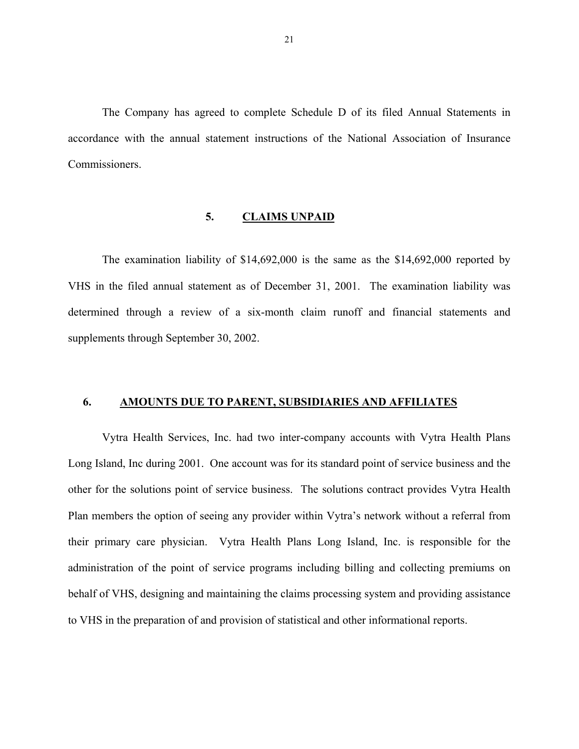<span id="page-22-0"></span>The Company has agreed to complete Schedule D of its filed Annual Statements in accordance with the annual statement instructions of the National Association of Insurance Commissioners.

#### **5. CLAIMS UNPAID**

The examination liability of \$14,692,000 is the same as the \$14,692,000 reported by VHS in the filed annual statement as of December 31, 2001. The examination liability was determined through a review of a six-month claim runoff and financial statements and supplements through September 30, 2002.

### **6. AMOUNTS DUE TO PARENT, SUBSIDIARIES AND AFFILIATES**

Vytra Health Services, Inc. had two inter-company accounts with Vytra Health Plans Long Island, Inc during 2001. One account was for its standard point of service business and the other for the solutions point of service business. The solutions contract provides Vytra Health Plan members the option of seeing any provider within Vytra's network without a referral from their primary care physician. Vytra Health Plans Long Island, Inc. is responsible for the administration of the point of service programs including billing and collecting premiums on behalf of VHS, designing and maintaining the claims processing system and providing assistance to VHS in the preparation of and provision of statistical and other informational reports.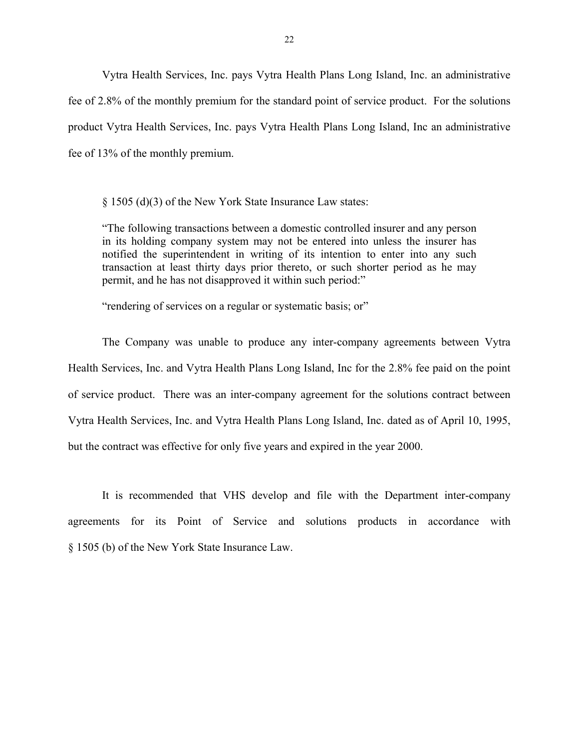Vytra Health Services, Inc. pays Vytra Health Plans Long Island, Inc. an administrative fee of 2.8% of the monthly premium for the standard point of service product. For the solutions product Vytra Health Services, Inc. pays Vytra Health Plans Long Island, Inc an administrative fee of 13% of the monthly premium.

§ 1505 (d)(3) of the New York State Insurance Law states:

"The following transactions between a domestic controlled insurer and any person in its holding company system may not be entered into unless the insurer has notified the superintendent in writing of its intention to enter into any such transaction at least thirty days prior thereto, or such shorter period as he may permit, and he has not disapproved it within such period:"

"rendering of services on a regular or systematic basis; or"

The Company was unable to produce any inter-company agreements between Vytra Health Services, Inc. and Vytra Health Plans Long Island, Inc for the 2.8% fee paid on the point of service product. There was an inter-company agreement for the solutions contract between Vytra Health Services, Inc. and Vytra Health Plans Long Island, Inc. dated as of April 10, 1995, but the contract was effective for only five years and expired in the year 2000.

agreements for its Point of Service and solutions products in accordance with § 1505 (b) of the New York State Insurance Law. It is recommended that VHS develop and file with the Department inter-company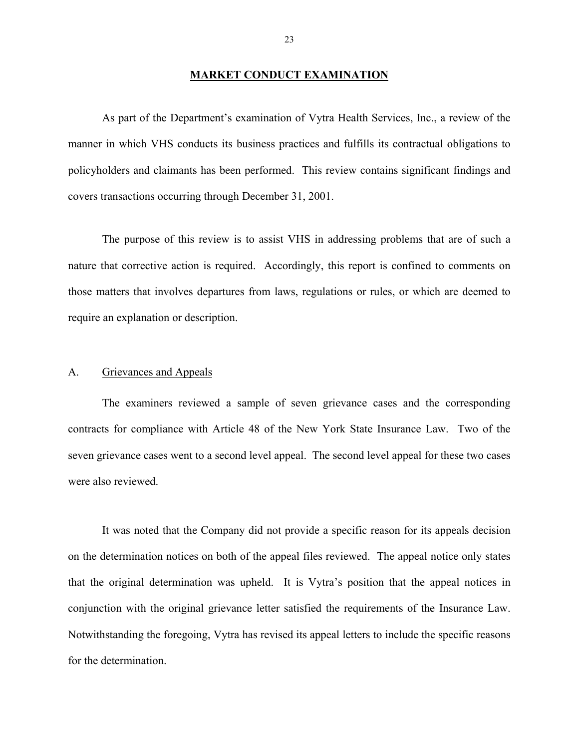## **MARKET CONDUCT EXAMINATION**

<span id="page-24-0"></span>As part of the Department's examination of Vytra Health Services, Inc., a review of the manner in which VHS conducts its business practices and fulfills its contractual obligations to policyholders and claimants has been performed. This review contains significant findings and covers transactions occurring through December 31, 2001.

The purpose of this review is to assist VHS in addressing problems that are of such a nature that corrective action is required. Accordingly, this report is confined to comments on those matters that involves departures from laws, regulations or rules, or which are deemed to require an explanation or description.

#### A. Grievances and Appeals

The examiners reviewed a sample of seven grievance cases and the corresponding contracts for compliance with Article 48 of the New York State Insurance Law. Two of the seven grievance cases went to a second level appeal. The second level appeal for these two cases were also reviewed.

It was noted that the Company did not provide a specific reason for its appeals decision on the determination notices on both of the appeal files reviewed. The appeal notice only states that the original determination was upheld. It is Vytra's position that the appeal notices in conjunction with the original grievance letter satisfied the requirements of the Insurance Law. Notwithstanding the foregoing, Vytra has revised its appeal letters to include the specific reasons for the determination.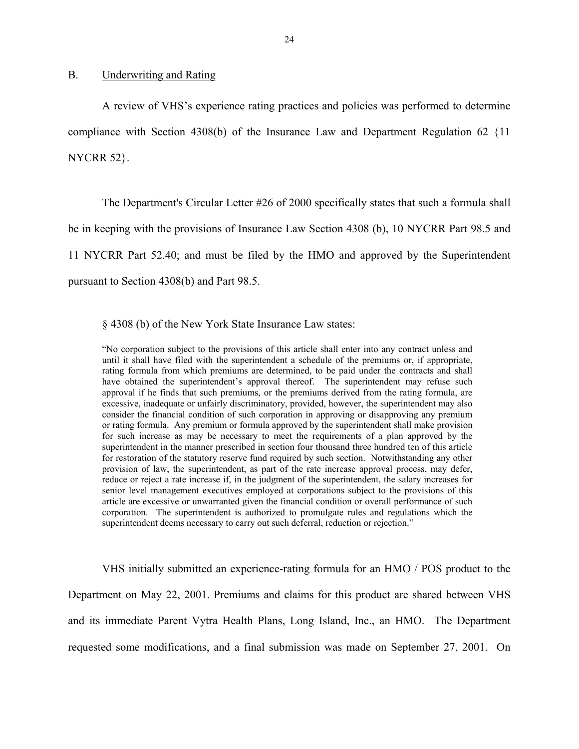#### <span id="page-25-0"></span>B. Underwriting and Rating

A review of VHS's experience rating practices and policies was performed to determine compliance with Section 4308(b) of the Insurance Law and Department Regulation 62 {11 NYCRR 52}.

The Department's Circular Letter #26 of 2000 specifically states that such a formula shall be in keeping with the provisions of Insurance Law Section 4308 (b), 10 NYCRR Part 98.5 and 11 NYCRR Part 52.40; and must be filed by the HMO and approved by the Superintendent pursuant to Section 4308(b) and Part 98.5.

§ 4308 (b) of the New York State Insurance Law states:

 excessive, inadequate or unfairly discriminatory, provided, however, the superintendent may also corporation. The superintendent is authorized to promulgate rules and regulations which the superintendent deems necessary to carry out such deferral, reduction or rejection." "No corporation subject to the provisions of this article shall enter into any contract unless and until it shall have filed with the superintendent a schedule of the premiums or, if appropriate, rating formula from which premiums are determined, to be paid under the contracts and shall have obtained the superintendent's approval thereof. The superintendent may refuse such approval if he finds that such premiums, or the premiums derived from the rating formula, are consider the financial condition of such corporation in approving or disapproving any premium or rating formula. Any premium or formula approved by the superintendent shall make provision for such increase as may be necessary to meet the requirements of a plan approved by the superintendent in the manner prescribed in section four thousand three hundred ten of this article for restoration of the statutory reserve fund required by such section. Notwithstanding any other provision of law, the superintendent, as part of the rate increase approval process, may defer, reduce or reject a rate increase if, in the judgment of the superintendent, the salary increases for senior level management executives employed at corporations subject to the provisions of this article are excessive or unwarranted given the financial condition or overall performance of such

VHS initially submitted an experience-rating formula for an HMO / POS product to the Department on May 22, 2001. Premiums and claims for this product are shared between VHS and its immediate Parent Vytra Health Plans, Long Island, Inc., an HMO. The Department requested some modifications, and a final submission was made on September 27, 2001. On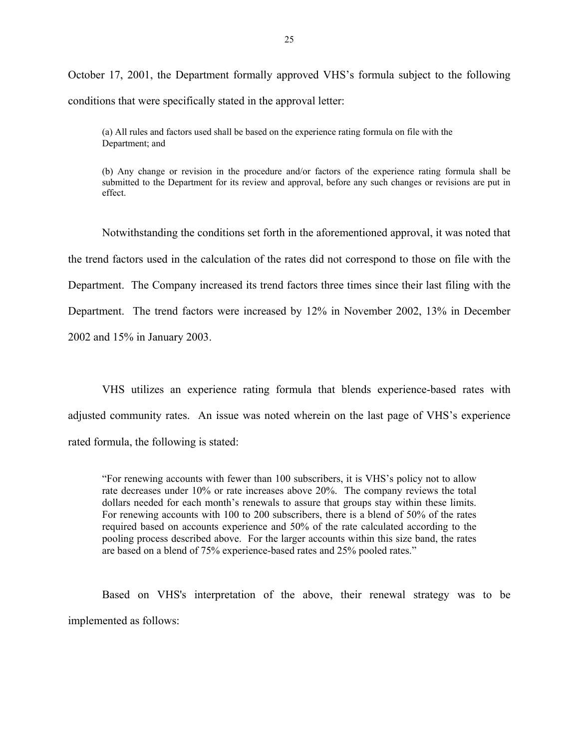October 17, 2001, the Department formally approved VHS's formula subject to the following conditions that were specifically stated in the approval letter:

(a) All rules and factors used shall be based on the experience rating formula on file with the Department; and

(b) Any change or revision in the procedure and/or factors of the experience rating formula shall be submitted to the Department for its review and approval, before any such changes or revisions are put in effect.

Notwithstanding the conditions set forth in the aforementioned approval, it was noted that the trend factors used in the calculation of the rates did not correspond to those on file with the Department. The Company increased its trend factors three times since their last filing with the Department. The trend factors were increased by 12% in November 2002, 13% in December 2002 and 15% in January 2003.

VHS utilizes an experience rating formula that blends experience-based rates with adjusted community rates. An issue was noted wherein on the last page of VHS's experience rated formula, the following is stated:

dollars needed for each month's renewals to assure that groups stay within these limits. "For renewing accounts with fewer than 100 subscribers, it is VHS's policy not to allow rate decreases under 10% or rate increases above 20%. The company reviews the total For renewing accounts with 100 to 200 subscribers, there is a blend of 50% of the rates required based on accounts experience and 50% of the rate calculated according to the pooling process described above. For the larger accounts within this size band, the rates are based on a blend of 75% experience-based rates and 25% pooled rates."

Based on VHS's interpretation of the above, their renewal strategy was to be implemented as follows: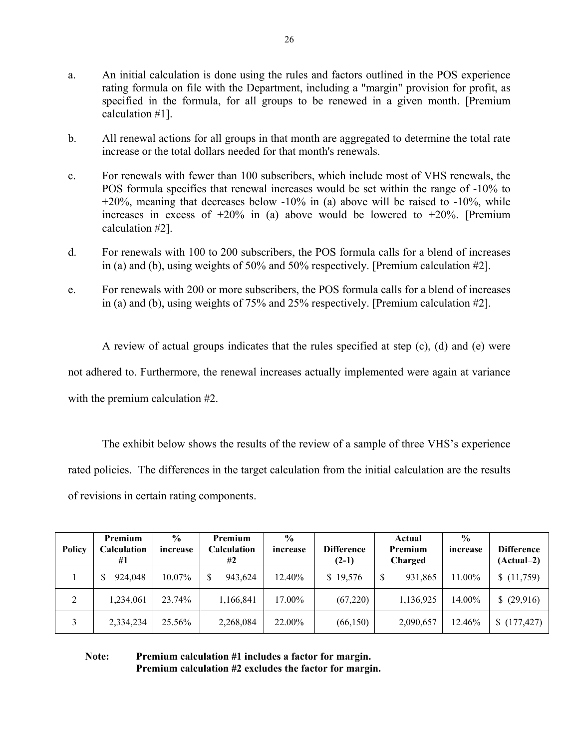- a. An initial calculation is done using the rules and factors outlined in the POS experience rating formula on file with the Department, including a "margin" provision for profit, as specified in the formula, for all groups to be renewed in a given month. [Premium calculation #1].
- b. All renewal actions for all groups in that month are aggregated to determine the total rate increase or the total dollars needed for that month's renewals.
- c. For renewals with fewer than 100 subscribers, which include most of VHS renewals, the POS formula specifies that renewal increases would be set within the range of -10% to +20%, meaning that decreases below -10% in (a) above will be raised to -10%, while increases in excess of  $+20\%$  in (a) above would be lowered to  $+20\%$ . [Premium calculation #2].
- d. For renewals with 100 to 200 subscribers, the POS formula calls for a blend of increases in (a) and (b), using weights of 50% and 50% respectively. [Premium calculation #2].
- e. For renewals with 200 or more subscribers, the POS formula calls for a blend of increases in (a) and (b), using weights of 75% and 25% respectively. [Premium calculation #2].

A review of actual groups indicates that the rules specified at step (c), (d) and (e) were not adhered to. Furthermore, the renewal increases actually implemented were again at variance with the premium calculation #2.

The exhibit below shows the results of the review of a sample of three VHS's experience rated policies. The differences in the target calculation from the initial calculation are the results of revisions in certain rating components.

| <b>Policy</b> | Premium<br><b>Calculation</b><br>#1 | $\frac{6}{9}$<br>increase | Premium<br>Calculation<br>#2 | $\frac{0}{0}$<br>increase | <b>Difference</b><br>$(2-1)$ | Actual<br>Premium<br>Charged | $\frac{0}{0}$<br>increase | <b>Difference</b><br>$(Actual-2)$ |
|---------------|-------------------------------------|---------------------------|------------------------------|---------------------------|------------------------------|------------------------------|---------------------------|-----------------------------------|
|               | 924,048<br>S                        | 10.07%                    | 943,624                      | 12.40%                    | \$19,576                     | 931,865<br>S                 | 11.00%                    | (11,759)                          |
| 2             | 1,234,061                           | 23.74%                    | 1,166,841                    | 17.00%                    | (67,220)                     | 1,136,925                    | 14.00%                    | (29,916)<br>S                     |
|               | 2,334,234                           | 25.56%                    | 2,268,084                    | 22.00%                    | (66, 150)                    | 2,090,657                    | 12.46%                    | (177, 427)                        |

**Note: Premium calculation #1 includes a factor for margin. Premium calculation #2 excludes the factor for margin.**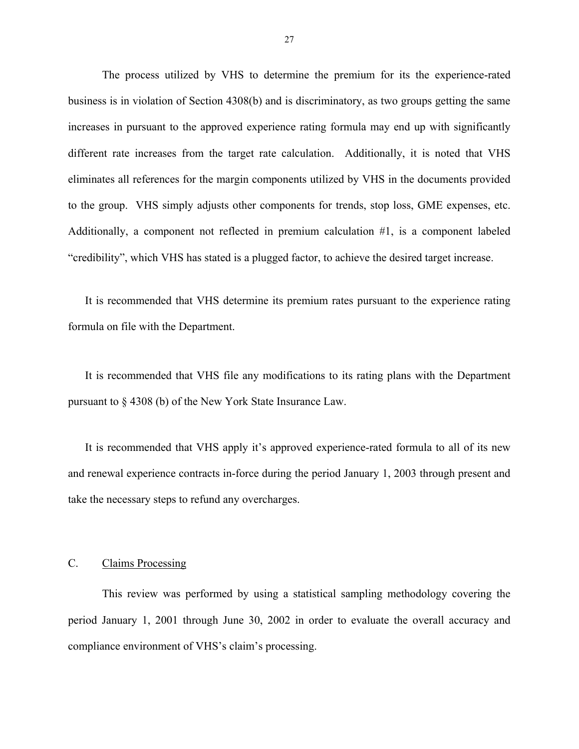<span id="page-28-0"></span>The process utilized by VHS to determine the premium for its the experience-rated business is in violation of Section 4308(b) and is discriminatory, as two groups getting the same increases in pursuant to the approved experience rating formula may end up with significantly different rate increases from the target rate calculation. Additionally, it is noted that VHS eliminates all references for the margin components utilized by VHS in the documents provided to the group. VHS simply adjusts other components for trends, stop loss, GME expenses, etc. Additionally, a component not reflected in premium calculation #1, is a component labeled "credibility", which VHS has stated is a plugged factor, to achieve the desired target increase.

It is recommended that VHS determine its premium rates pursuant to the experience rating formula on file with the Department.

It is recommended that VHS file any modifications to its rating plans with the Department pursuant to § 4308 (b) of the New York State Insurance Law.

It is recommended that VHS apply it's approved experience-rated formula to all of its new and renewal experience contracts in-force during the period January 1, 2003 through present and take the necessary steps to refund any overcharges.

### C. Claims Processing

This review was performed by using a statistical sampling methodology covering the period January 1, 2001 through June 30, 2002 in order to evaluate the overall accuracy and compliance environment of VHS's claim's processing.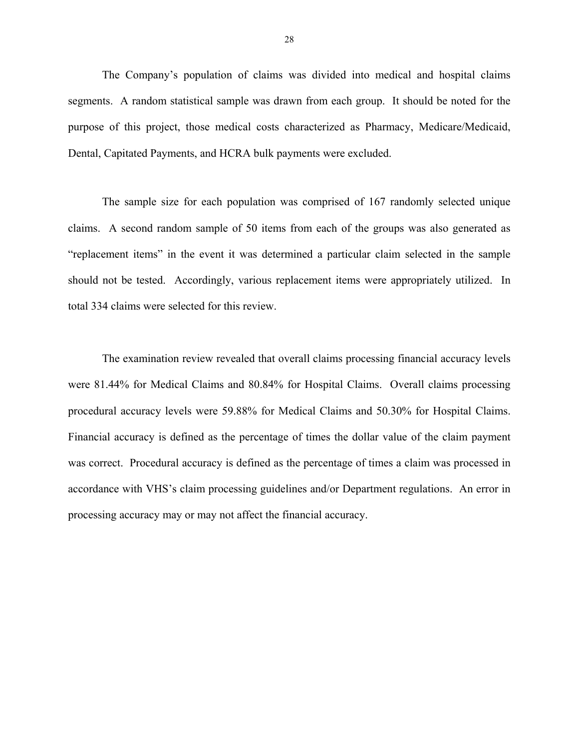The Company's population of claims was divided into medical and hospital claims segments. A random statistical sample was drawn from each group. It should be noted for the purpose of this project, those medical costs characterized as Pharmacy, Medicare/Medicaid, Dental, Capitated Payments, and HCRA bulk payments were excluded.

The sample size for each population was comprised of 167 randomly selected unique claims. A second random sample of 50 items from each of the groups was also generated as "replacement items" in the event it was determined a particular claim selected in the sample should not be tested. Accordingly, various replacement items were appropriately utilized. In total 334 claims were selected for this review.

The examination review revealed that overall claims processing financial accuracy levels were 81.44% for Medical Claims and 80.84% for Hospital Claims. Overall claims processing procedural accuracy levels were 59.88% for Medical Claims and 50.30% for Hospital Claims. Financial accuracy is defined as the percentage of times the dollar value of the claim payment was correct. Procedural accuracy is defined as the percentage of times a claim was processed in accordance with VHS's claim processing guidelines and/or Department regulations. An error in processing accuracy may or may not affect the financial accuracy.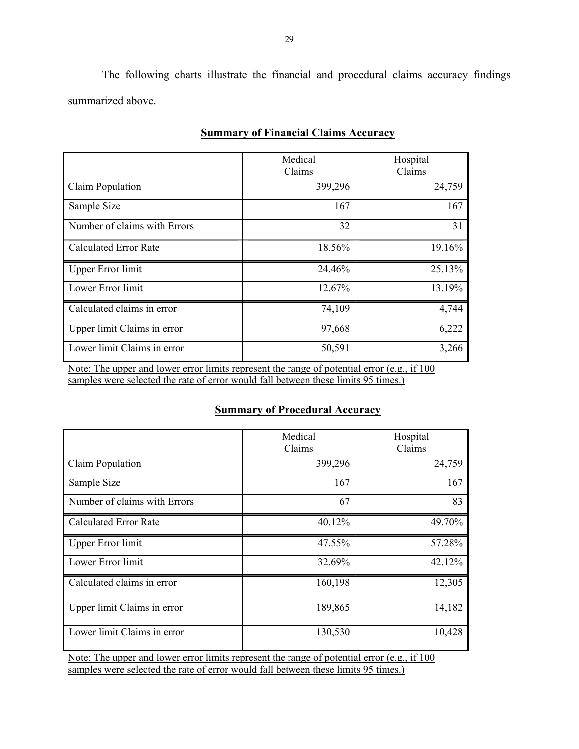The following charts illustrate the financial and procedural claims accuracy findings summarized above.

|                              | Medical<br>Claims | Hospital<br>Claims |
|------------------------------|-------------------|--------------------|
| Claim Population             | 399,296           | 24,759             |
| Sample Size                  | 167               | 167                |
| Number of claims with Errors | 32                | 31                 |
| <b>Calculated Error Rate</b> | 18.56%            | 19.16%             |
| <b>Upper Error limit</b>     | 24.46%            | 25.13%             |
| Lower Error limit            | 12.67%            | 13.19%             |
| Calculated claims in error   | 74,109            | 4,744              |
| Upper limit Claims in error  | 97,668            | 6,222              |
| Lower limit Claims in error  | 50,591            | 3,266              |

## **Summary of Financial Claims Accuracy**

Note: The upper and lower error limits represent the range of potential error (e.g., if 100 samples were selected the rate of error would fall between these limits 95 times.)

## **Summary of Procedural Accuracy**

|                              | Medical<br>Claims | Hospital<br>Claims |
|------------------------------|-------------------|--------------------|
| Claim Population             | 399,296           | 24,759             |
| Sample Size                  | 167               | 167                |
| Number of claims with Errors | 67                | 83                 |
| <b>Calculated Error Rate</b> | 40.12%            | 49.70%             |
| <b>Upper Error limit</b>     | 47.55%            | 57.28%             |
| Lower Error limit            | 32.69%            | 42.12%             |
| Calculated claims in error   | 160,198           | 12,305             |
| Upper limit Claims in error  | 189,865           | 14,182             |
| Lower limit Claims in error  | 130,530           | 10,428             |

Note: The upper and lower error limits represent the range of potential error (e.g., if 100 samples were selected the rate of error would fall between these limits 95 times.)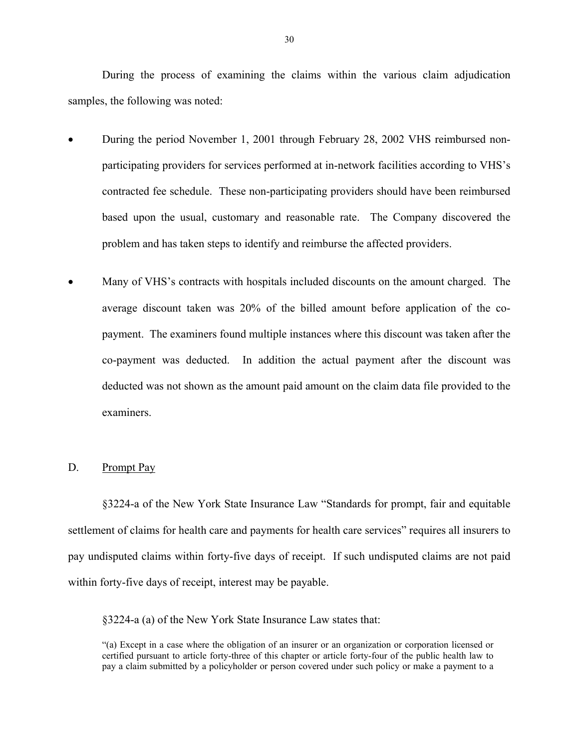During the process of examining the claims within the various claim adjudication samples, the following was noted:

- During the period November 1, 2001 through February 28, 2002 VHS reimbursed nonparticipating providers for services performed at in-network facilities according to VHS's contracted fee schedule. These non-participating providers should have been reimbursed based upon the usual, customary and reasonable rate. The Company discovered the problem and has taken steps to identify and reimburse the affected providers.
- Many of VHS's contracts with hospitals included discounts on the amount charged. The average discount taken was 20% of the billed amount before application of the copayment. The examiners found multiple instances where this discount was taken after the co-payment was deducted. In addition the actual payment after the discount was deducted was not shown as the amount paid amount on the claim data file provided to the examiners.

#### D. Prompt Pay

§3224-a of the New York State Insurance Law "Standards for prompt, fair and equitable settlement of claims for health care and payments for health care services" requires all insurers to pay undisputed claims within forty-five days of receipt. If such undisputed claims are not paid within forty-five days of receipt, interest may be payable.

§3224-a (a) of the New York State Insurance Law states that:

<sup>&</sup>quot;(a) Except in a case where the obligation of an insurer or an organization or corporation licensed or certified pursuant to article forty-three of this chapter or article forty-four of the public health law to pay a claim submitted by a policyholder or person covered under such policy or make a payment to a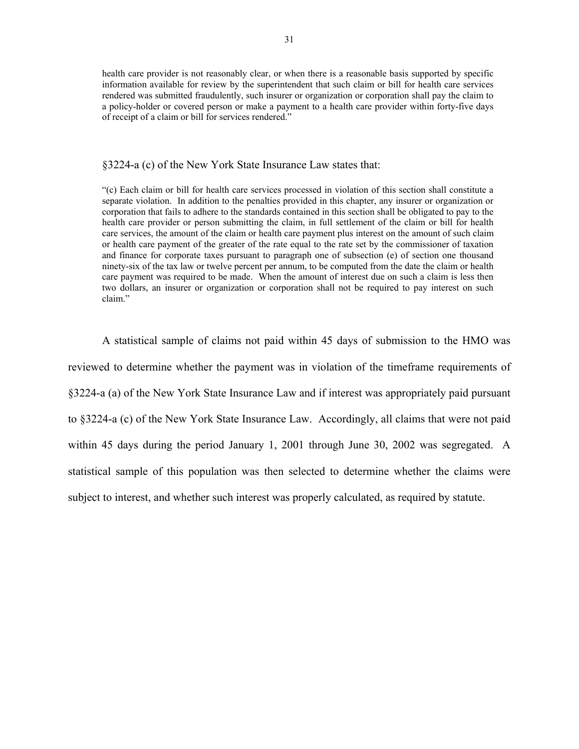health care provider is not reasonably clear, or when there is a reasonable basis supported by specific information available for review by the superintendent that such claim or bill for health care services rendered was submitted fraudulently, such insurer or organization or corporation shall pay the claim to a policy-holder or covered person or make a payment to a health care provider within forty-five days of receipt of a claim or bill for services rendered."

#### §3224-a (c) of the New York State Insurance Law states that:

 health care provider or person submitting the claim, in full settlement of the claim or bill for health "(c) Each claim or bill for health care services processed in violation of this section shall constitute a separate violation. In addition to the penalties provided in this chapter, any insurer or organization or corporation that fails to adhere to the standards contained in this section shall be obligated to pay to the care services, the amount of the claim or health care payment plus interest on the amount of such claim or health care payment of the greater of the rate equal to the rate set by the commissioner of taxation and finance for corporate taxes pursuant to paragraph one of subsection (e) of section one thousand ninety-six of the tax law or twelve percent per annum, to be computed from the date the claim or health care payment was required to be made. When the amount of interest due on such a claim is less then two dollars, an insurer or organization or corporation shall not be required to pay interest on such claim."

A statistical sample of claims not paid within 45 days of submission to the HMO was reviewed to determine whether the payment was in violation of the timeframe requirements of §3224-a (a) of the New York State Insurance Law and if interest was appropriately paid pursuant to §3224-a (c) of the New York State Insurance Law. Accordingly, all claims that were not paid within 45 days during the period January 1, 2001 through June 30, 2002 was segregated. A statistical sample of this population was then selected to determine whether the claims were subject to interest, and whether such interest was properly calculated, as required by statute.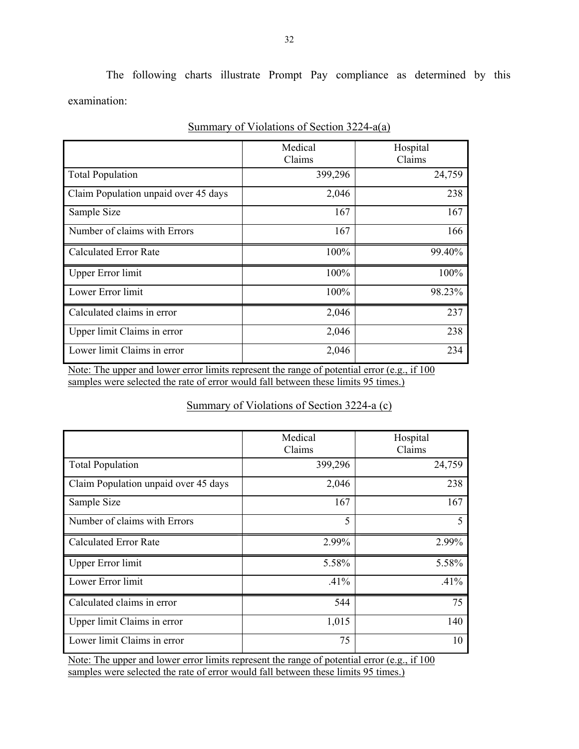The following charts illustrate Prompt Pay compliance as determined by this examination:

|                                      | Medical<br>Claims | Hospital<br>Claims |
|--------------------------------------|-------------------|--------------------|
| <b>Total Population</b>              | 399,296           | 24,759             |
| Claim Population unpaid over 45 days | 2,046             | 238                |
| Sample Size                          | 167               | 167                |
| Number of claims with Errors         | 167               | 166                |
| <b>Calculated Error Rate</b>         | 100%              | 99.40%             |
| <b>Upper Error limit</b>             | 100%              | 100%               |
| Lower Error limit                    | 100%              | 98.23%             |
| Calculated claims in error           | 2,046             | 237                |
| Upper limit Claims in error          | 2,046             | 238                |
| Lower limit Claims in error          | 2,046             | 234                |

|--|

Note: The upper and lower error limits represent the range of potential error (e.g., if 100 samples were selected the rate of error would fall between these limits 95 times.)

## Summary of Violations of Section 3224-a (c)

|                                      | Medical | Hospital |
|--------------------------------------|---------|----------|
|                                      | Claims  | Claims   |
|                                      |         |          |
| <b>Total Population</b>              | 399,296 | 24,759   |
|                                      |         |          |
| Claim Population unpaid over 45 days | 2,046   | 238      |
|                                      |         |          |
| Sample Size                          | 167     | 167      |
|                                      |         |          |
| Number of claims with Errors         | 5       | 5        |
|                                      |         |          |
|                                      |         |          |
| <b>Calculated Error Rate</b>         | 2.99%   | 2.99%    |
|                                      |         |          |
| <b>Upper Error limit</b>             | 5.58%   | 5.58%    |
|                                      |         |          |
| Lower Error limit                    | .41%    | $.41\%$  |
|                                      |         |          |
| Calculated claims in error           | 544     | 75       |
|                                      |         |          |
| Upper limit Claims in error          | 1,015   | 140      |
|                                      |         |          |
| Lower limit Claims in error          | 75      | 10       |
|                                      |         |          |

Note: The upper and lower error limits represent the range of potential error (e.g., if 100 samples were selected the rate of error would fall between these limits 95 times.)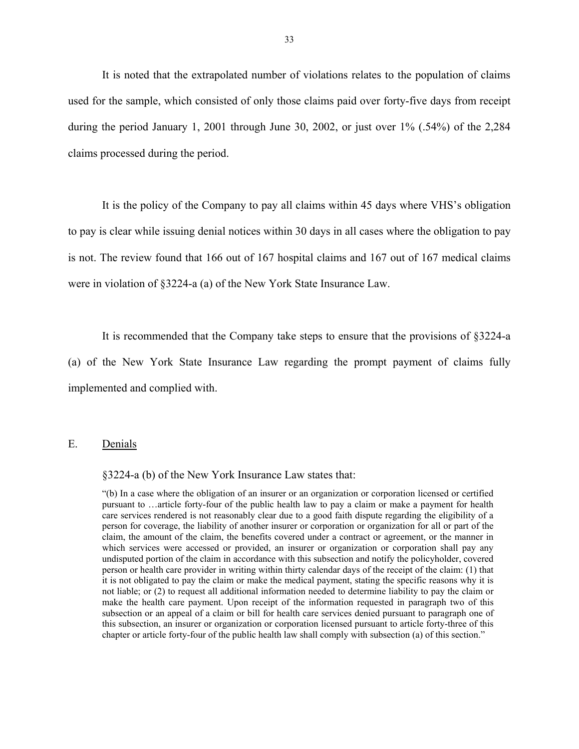<span id="page-34-0"></span>It is noted that the extrapolated number of violations relates to the population of claims used for the sample, which consisted of only those claims paid over forty-five days from receipt during the period January 1, 2001 through June 30, 2002, or just over 1% (.54%) of the 2,284 claims processed during the period.

It is the policy of the Company to pay all claims within 45 days where VHS's obligation to pay is clear while issuing denial notices within 30 days in all cases where the obligation to pay is not. The review found that 166 out of 167 hospital claims and 167 out of 167 medical claims were in violation of §3224-a (a) of the New York State Insurance Law.

It is recommended that the Company take steps to ensure that the provisions of §3224-a

(a) of the New York State Insurance Law regarding the prompt payment of claims fully implemented and complied with.

## E. Denials

§3224-a (b) of the New York Insurance Law states that:

 "(b) In a case where the obligation of an insurer or an organization or corporation licensed or certified care services rendered is not reasonably clear due to a good faith dispute regarding the eligibility of a person for coverage, the liability of another insurer or corporation or organization for all or part of the pursuant to …article forty-four of the public health law to pay a claim or make a payment for health claim, the amount of the claim, the benefits covered under a contract or agreement, or the manner in which services were accessed or provided, an insurer or organization or corporation shall pay any undisputed portion of the claim in accordance with this subsection and notify the policyholder, covered person or health care provider in writing within thirty calendar days of the receipt of the claim: (1) that it is not obligated to pay the claim or make the medical payment, stating the specific reasons why it is not liable; or (2) to request all additional information needed to determine liability to pay the claim or make the health care payment. Upon receipt of the information requested in paragraph two of this subsection or an appeal of a claim or bill for health care services denied pursuant to paragraph one of this subsection, an insurer or organization or corporation licensed pursuant to article forty-three of this chapter or article forty-four of the public health law shall comply with subsection (a) of this section."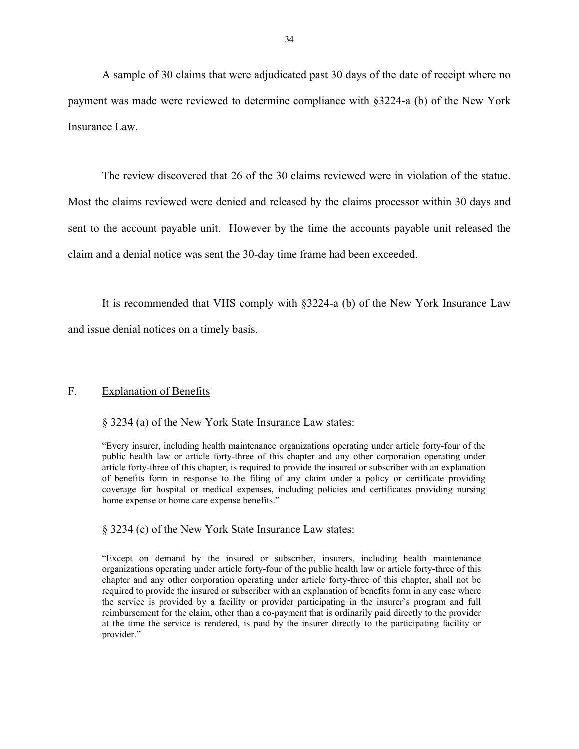<span id="page-35-0"></span>A sample of 30 claims that were adjudicated past 30 days of the date of receipt where no payment was made were reviewed to determine compliance with §3224-a (b) of the New York Insurance Law.

The review discovered that 26 of the 30 claims reviewed were in violation of the statue. Most the claims reviewed were denied and released by the claims processor within 30 days and sent to the account payable unit. However by the time the accounts payable unit released the claim and a denial notice was sent the 30-day time frame had been exceeded.

It is recommended that VHS comply with §3224-a (b) of the New York Insurance Law and issue denial notices on a timely basis.

#### F. Explanation of Benefits

§ 3234 (a) of the New York State Insurance Law states:

"Every insurer, including health maintenance organizations operating under article forty-four of the public health law or article forty-three of this chapter and any other corporation operating under article forty-three of this chapter, is required to provide the insured or subscriber with an explanation of benefits form in response to the filing of any claim under a policy or certificate providing coverage for hospital or medical expenses, including policies and certificates providing nursing home expense or home care expense benefits."

§ 3234 (c) of the New York State Insurance Law states:

"Except on demand by the insured or subscriber, insurers, including health maintenance organizations operating under article forty-four of the public health law or article forty-three of this chapter and any other corporation operating under article forty-three of this chapter, shall not be required to provide the insured or subscriber with an explanation of benefits form in any case where the service is provided by a facility or provider participating in the insurer`s program and full reimbursement for the claim, other than a co-payment that is ordinarily paid directly to the provider at the time the service is rendered, is paid by the insurer directly to the participating facility or provider."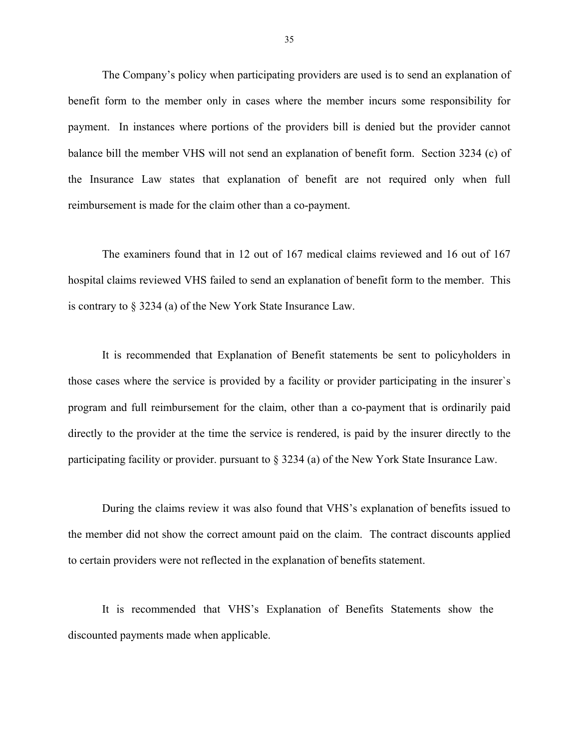The Company's policy when participating providers are used is to send an explanation of benefit form to the member only in cases where the member incurs some responsibility for payment. In instances where portions of the providers bill is denied but the provider cannot balance bill the member VHS will not send an explanation of benefit form. Section 3234 (c) of the Insurance Law states that explanation of benefit are not required only when full reimbursement is made for the claim other than a co-payment.

The examiners found that in 12 out of 167 medical claims reviewed and 16 out of 167 hospital claims reviewed VHS failed to send an explanation of benefit form to the member. This is contrary to § 3234 (a) of the New York State Insurance Law.

It is recommended that Explanation of Benefit statements be sent to policyholders in those cases where the service is provided by a facility or provider participating in the insurer`s program and full reimbursement for the claim, other than a co-payment that is ordinarily paid directly to the provider at the time the service is rendered, is paid by the insurer directly to the participating facility or provider. pursuant to § 3234 (a) of the New York State Insurance Law.

During the claims review it was also found that VHS's explanation of benefits issued to the member did not show the correct amount paid on the claim. The contract discounts applied to certain providers were not reflected in the explanation of benefits statement.

It is recommended that VHS's Explanation of Benefits Statements show the discounted payments made when applicable.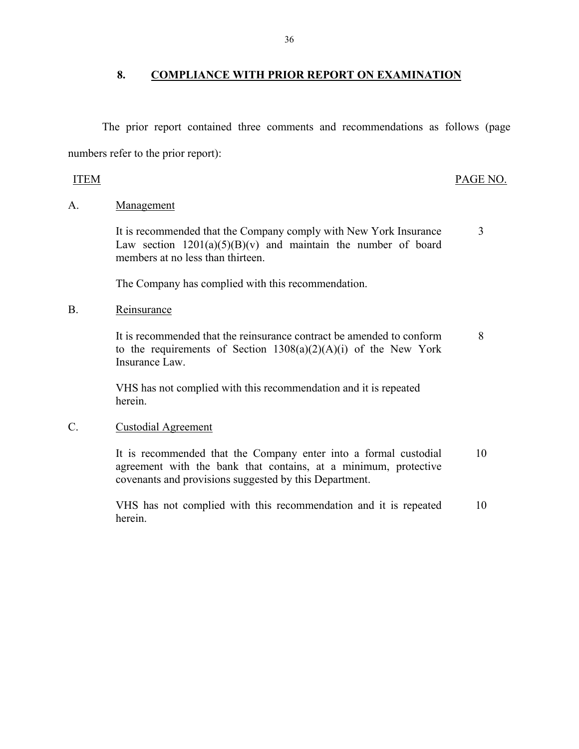## 8. COMPLIANCE WITH PRIOR REPORT ON EXAMINATION

The prior report contained three comments and recommendations as follows (page numbers refer to the prior report):

## **ITEM**

## PAGE NO.

## A. Management

It is recommended that the Company comply with New York Insurance Law section  $1201(a)(5)(B)(v)$  and maintain the number of board members at no less than thirteen 3

The Company has complied with this recommendation.

## B. Reinsurance

It is recommended that the reinsurance contract be amended to conform to the requirements of Section  $1308(a)(2)(A)(i)$  of the New York Insurance Law. 8

VHS has not complied with this recommendation and it is repeated herein.

## C. Custodial Agreement

It is recommended that the Company enter into a formal custodial agreement with the bank that contains, at a minimum, protective covenants and provisions suggested by this Department. 10

VHS has not complied with this recommendation and it is repeated herein. 10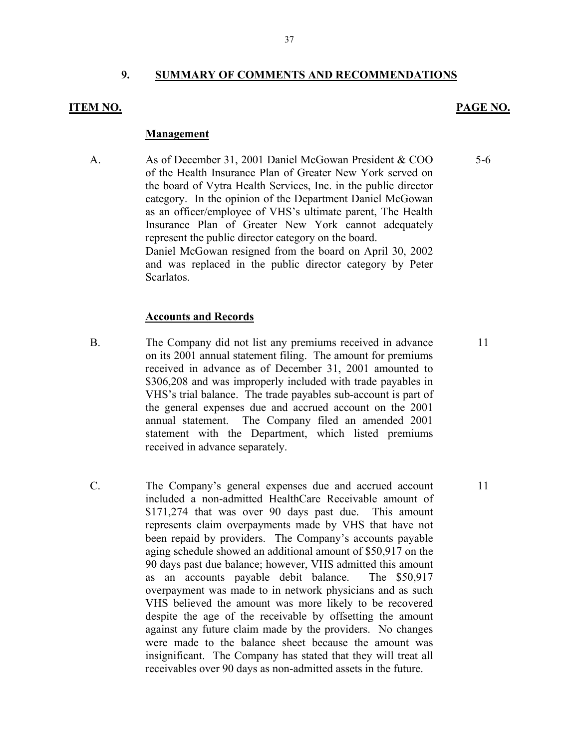## **9. SUMMARY OF COMMENTS AND RECOMMENDATIONS**

#### **ITEM NO.**

#### **PAGE NO.**

5-6

#### **Management**

A. As of December 31, 2001 Daniel McGowan President & COO of the Health Insurance Plan of Greater New York served on the board of Vytra Health Services, Inc. in the public director category. In the opinion of the Department Daniel McGowan as an officer/employee of VHS's ultimate parent, The Health Insurance Plan of Greater New York cannot adequately represent the public director category on the board. Daniel McGowan resigned from the board on April 30, 2002 and was replaced in the public director category by Peter Scarlatos.

#### **Accounts and Records**

- B. The Company did not list any premiums received in advance on its 2001 annual statement filing. The amount for premiums received in advance as of December 31, 2001 amounted to \$306,208 and was improperly included with trade payables in VHS's trial balance. The trade payables sub-account is part of the general expenses due and accrued account on the 2001 annual statement. The Company filed an amended 2001 statement with the Department, which listed premiums received in advance separately.
- C. The Company's general expenses due and accrued account 11 included a non-admitted HealthCare Receivable amount of \$171,274 that was over 90 days past due. This amount represents claim overpayments made by VHS that have not been repaid by providers. The Company's accounts payable aging schedule showed an additional amount of \$50,917 on the 90 days past due balance; however, VHS admitted this amount as an accounts payable debit balance. The \$50,917 overpayment was made to in network physicians and as such VHS believed the amount was more likely to be recovered despite the age of the receivable by offsetting the amount against any future claim made by the providers. No changes were made to the balance sheet because the amount was insignificant. The Company has stated that they will treat all receivables over 90 days as non-admitted assets in the future.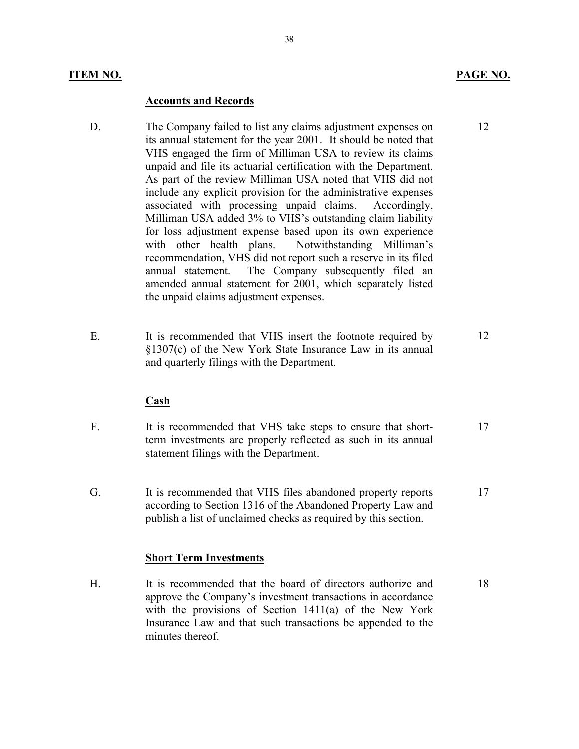## **ITEM NO. PAGE NO.**

#### **Accounts and Records**

- D. The Company failed to list any claims adjustment expenses on its annual statement for the year 2001. It should be noted that VHS engaged the firm of Milliman USA to review its claims unpaid and file its actuarial certification with the Department. As part of the review Milliman USA noted that VHS did not include any explicit provision for the administrative expenses associated with processing unpaid claims. Accordingly, Milliman USA added 3% to VHS's outstanding claim liability for loss adjustment expense based upon its own experience with other health plans. Notwithstanding Milliman's recommendation, VHS did not report such a reserve in its filed annual statement. The Company subsequently filed an amended annual statement for 2001, which separately listed the unpaid claims adjustment expenses.
- E. It is recommended that VHS insert the footnote required by §1307(c) of the New York State Insurance Law in its annual and quarterly filings with the Department. 12

#### **Cash**

- F. It is recommended that VHS take steps to ensure that shortterm investments are properly reflected as such in its annual statement filings with the Department. 17
- G. It is recommended that VHS files abandoned property reports according to Section 1316 of the Abandoned Property Law and publish a list of unclaimed checks as required by this section. 17

#### **Short Term Investments**

H. It is recommended that the board of directors authorize and approve the Company's investment transactions in accordance with the provisions of Section 1411(a) of the New York Insurance Law and that such transactions be appended to the minutes thereof.

12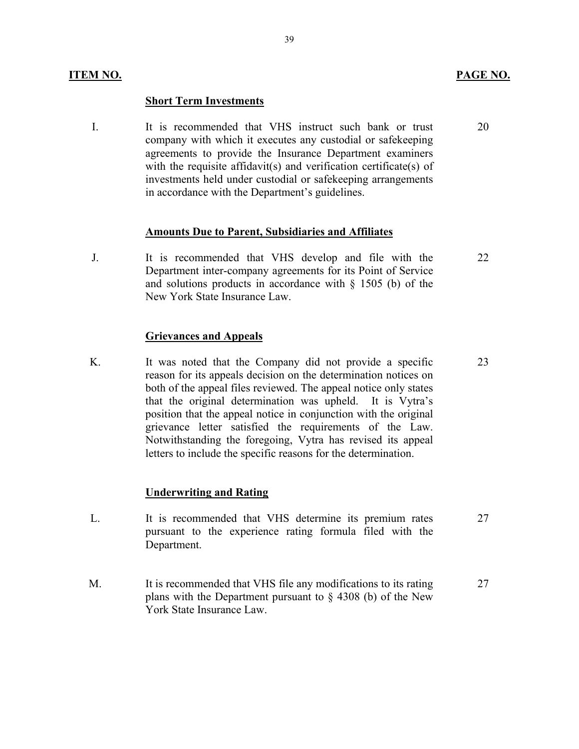#### **Short Term Investments**

I. It is recommended that VHS instruct such bank or trust company with which it executes any custodial or safekeeping agreements to provide the Insurance Department examiners with the requisite affidavit(s) and verification certificate(s) of investments held under custodial or safekeeping arrangements in accordance with the Department's guidelines.

## **Amounts Due to Parent, Subsidiaries and Affiliates**

J. It is recommended that VHS develop and file with the Department inter-company agreements for its Point of Service and solutions products in accordance with  $\S$  1505 (b) of the New York State Insurance Law. 22

#### **Grievances and Appeals**

K. It was noted that the Company did not provide a specific reason for its appeals decision on the determination notices on both of the appeal files reviewed. The appeal notice only states that the original determination was upheld. It is Vytra's position that the appeal notice in conjunction with the original grievance letter satisfied the requirements of the Law. Notwithstanding the foregoing, Vytra has revised its appeal letters to include the specific reasons for the determination.

#### **Underwriting and Rating**

- L. It is recommended that VHS determine its premium rates pursuant to the experience rating formula filed with the Department. 27
- M. It is recommended that VHS file any modifications to its rating plans with the Department pursuant to § 4308 (b) of the New York State Insurance Law. 27

20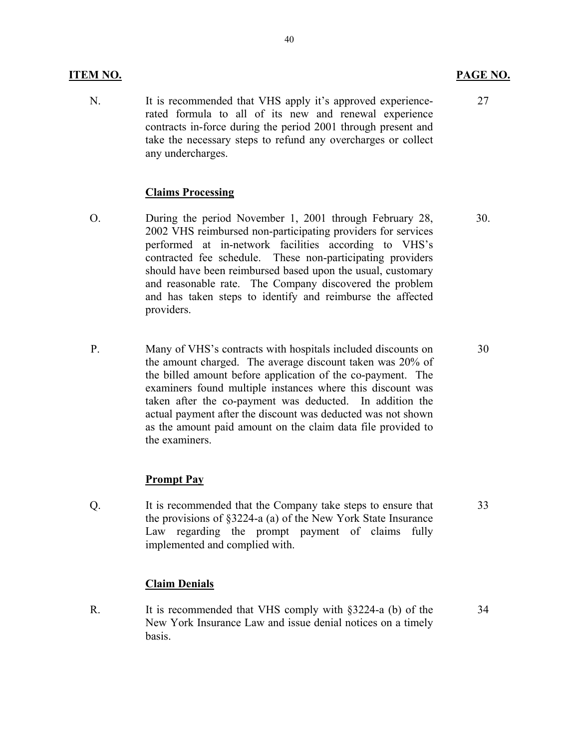## **ITEM NO. PAGE NO.**

N. It is recommended that VHS apply it's approved experiencerated formula to all of its new and renewal experience contracts in-force during the period 2001 through present and take the necessary steps to refund any overcharges or collect any undercharges.

## **Claims Processing**

- O. During the period November 1, 2001 through February 28, 2002 VHS reimbursed non-participating providers for services performed at in-network facilities according to VHS's contracted fee schedule. These non-participating providers should have been reimbursed based upon the usual, customary and reasonable rate. The Company discovered the problem and has taken steps to identify and reimburse the affected providers. 30.
- P. Many of VHS's contracts with hospitals included discounts on the amount charged. The average discount taken was 20% of the billed amount before application of the co-payment. The examiners found multiple instances where this discount was taken after the co-payment was deducted. In addition the actual payment after the discount was deducted was not shown as the amount paid amount on the claim data file provided to the examiners.

## **Prompt Pay**

Q. It is recommended that the Company take steps to ensure that the provisions of §3224-a (a) of the New York State Insurance Law regarding the prompt payment of claims fully implemented and complied with.

## **Claim Denials**

R. It is recommended that VHS comply with §3224-a (b) of the New York Insurance Law and issue denial notices on a timely basis. 34

27

30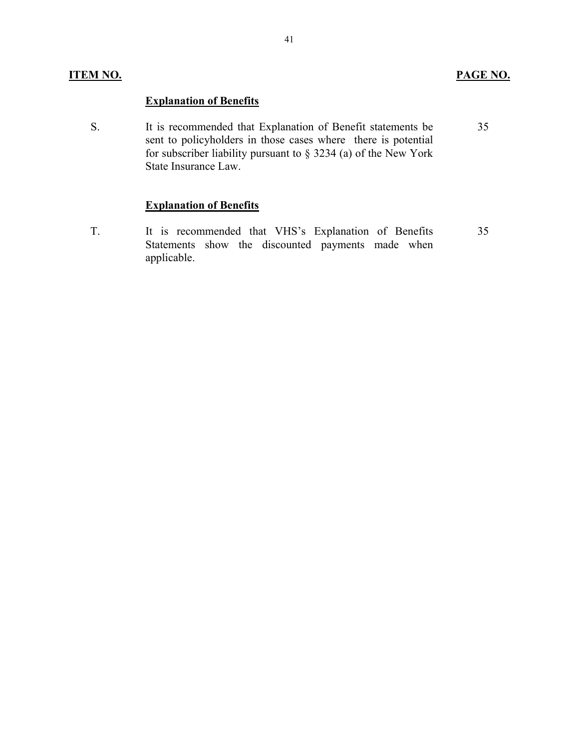## **ITEM NO. PAGE NO.**

## **Explanation of Benefits**

S. It is recommended that Explanation of Benefit statements be sent to policyholders in those cases where there is potential for subscriber liability pursuant to § 3234 (a) of the New York State Insurance Law. 35

## **Explanation of Benefits**

T. It is recommended that VHS's Explanation of Benefits Statements show the discounted payments made when applicable.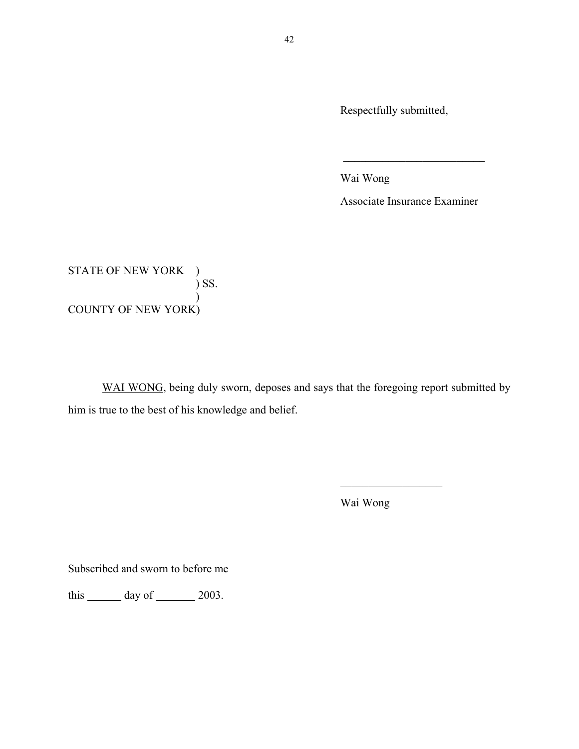Respectfully submitted,

Wai Wong

Associate Insurance Examiner

 $\mathcal{L}_\text{max}$  , where  $\mathcal{L}_\text{max}$  , we have the set of  $\mathcal{L}_\text{max}$ 

STATE OF NEW YORK )  $\sum$  SS.  $\mathcal{L}$ COUNTY OF NEW YORK)

WAI WONG, being duly sworn, deposes and says that the foregoing report submitted by him is true to the best of his knowledge and belief.

Wai Wong

 $\overline{\phantom{a}}$  , where  $\overline{\phantom{a}}$ 

Subscribed and sworn to before me

this  $\_\_\_\_\$  day of  $\_\_\_\_\$  2003.